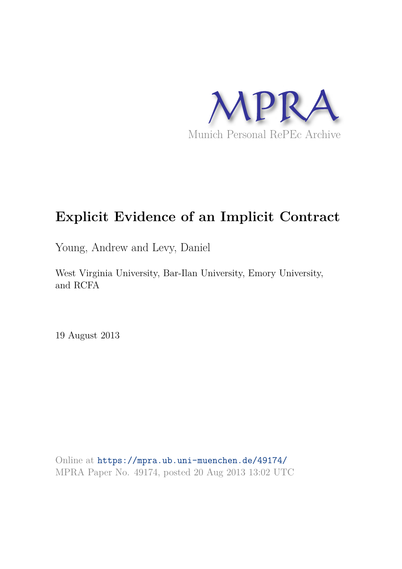

# **Explicit Evidence of an Implicit Contract**

Young, Andrew and Levy, Daniel

West Virginia University, Bar-Ilan University, Emory University, and RCFA

19 August 2013

Online at https://mpra.ub.uni-muenchen.de/49174/ MPRA Paper No. 49174, posted 20 Aug 2013 13:02 UTC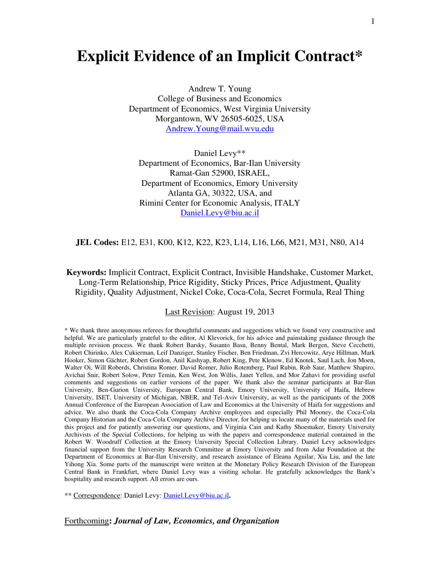### **Explicit Evidence of an Implicit Contract\***

Andrew T. Young College of Business and Economics Department of Economics, West Virginia University Morgantown, WV 26505-6025, USA [Andrew.Young@mail.wvu.edu](mailto:Andrew.Young@mail.wvu.edu)

Daniel Levy\*\* Department of Economics, Bar-Ilan University Ramat-Gan 52900, ISRAEL, Department of Economics, Emory University Atlanta GA, 30322, USA, and Rimini Center for Economic Analysis, ITALY [Daniel.Levy@biu.ac.il](mailto:levyda@mail.biu.ac.il) 

**JEL Codes:** E12, E31, K00, K12, K22, K23, L14, L16, L66, M21, M31, N80, A14

**Keywords:** Implicit Contract, Explicit Contract, Invisible Handshake, Customer Market, Long-Term Relationship, Price Rigidity, Sticky Prices, Price Adjustment, Quality Rigidity, Quality Adjustment, Nickel Coke, Coca-Cola, Secret Formula, Real Thing

Last Revision: August 19, 2013

\* We thank three anonymous referees for thoughtful comments and suggestions which we found very constructive and helpful. We are particularly grateful to the editor, Al Klevorick, for his advice and painstaking guidance through the multiple revision process. We thank Robert Barsky, Susanto Basu, Benny Bental, Mark Bergen, Steve Cecchetti, Robert Chirinko, Alex Cukierman, Leif Danziger, Stanley Fischer, Ben Friedman, Zvi Hercowitz, Arye Hillman, Mark Hooker, Simon Gächter, Robert Gordon, Anil Kashyap, Robert King, Pete Klenow, Ed Knotek, Saul Lach, Jon Moen, Walter Oi, Will Roberds, Christina Romer, David Romer, Julio Rotemberg, Paul Rubin, Rob Saur, Matthew Shapiro, Avichai Snir, Robert Solow, Peter Temin, Ken West, Jon Willis, Janet Yellen, and Mor Zahavi for providing useful comments and suggestions on earlier versions of the paper. We thank also the seminar participants at Bar-Ilan University, Ben-Gurion University, European Central Bank, Emory University, University of Haifa, Hebrew University, ISET, University of Michigan, NBER, and Tel-Aviv University, as well as the participants of the 2008 Annual Conference of the European Association of Law and Economics at the University of Haifa for suggestions and advice. We also thank the Coca-Cola Company Archive employees and especially Phil Mooney, the Coca-Cola Company Historian and the Coca-Cola Company Archive Director, for helping us locate many of the materials used for this project and for patiently answering our questions, and Virginia Cain and Kathy Shoemaker, Emory University Archivists of the Special Collections, for helping us with the papers and correspondence material contained in the Robert W. Woodruff Collection at the Emory University Special Collection Library. Daniel Levy acknowledges financial support from the University Research Committee at Emory University and from Adar Foundation at the Department of Economics at Bar-Ilan University, and research assistance of Eleana Aguilar, Xia Liu, and the late Yihong Xia. Some parts of the manuscript were written at the Monetary Policy Research Division of the European Central Bank in Frankfurt, where Daniel Levy was a visiting scholar. He gratefully acknowledges the Bank's hospitality and research support. All errors are ours.

\*\* Correspondence: Daniel Levy[: Daniel.Levy@biu.ac.il](mailto:levyda@mail.biu.ac.il)**.** 

Forthcoming**:** *Journal of Law, Economics, and Organization*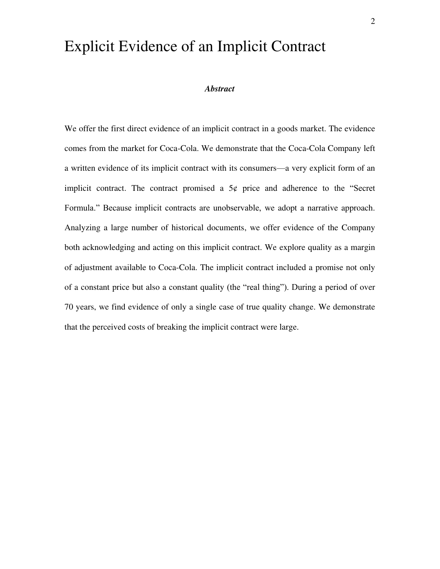## Explicit Evidence of an Implicit Contract

#### *Abstract*

We offer the first direct evidence of an implicit contract in a goods market. The evidence comes from the market for Coca-Cola. We demonstrate that the Coca-Cola Company left a written evidence of its implicit contract with its consumers—a very explicit form of an implicit contract. The contract promised a  $5¢$  price and adherence to the "Secret Formula." Because implicit contracts are unobservable, we adopt a narrative approach. Analyzing a large number of historical documents, we offer evidence of the Company both acknowledging and acting on this implicit contract. We explore quality as a margin of adjustment available to Coca-Cola. The implicit contract included a promise not only of a constant price but also a constant quality (the "real thing"). During a period of over 70 years, we find evidence of only a single case of true quality change. We demonstrate that the perceived costs of breaking the implicit contract were large.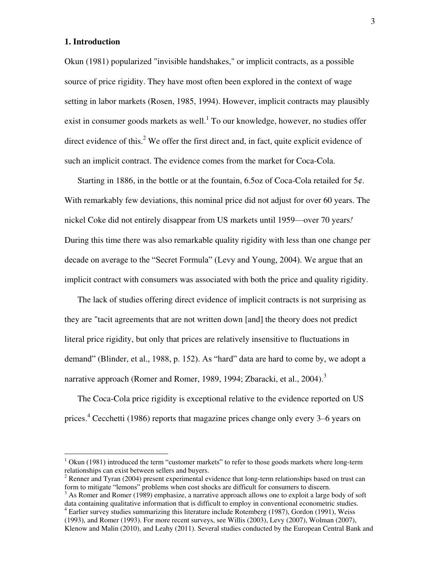#### **1. Introduction**

 $\overline{a}$ 

Okun (1981) popularized "invisible handshakes," or implicit contracts, as a possible source of price rigidity. They have most often been explored in the context of wage setting in labor markets (Rosen, 1985, 1994). However, implicit contracts may plausibly exist in consumer goods markets as well.<sup>1</sup> To our knowledge, however, no studies offer direct evidence of this. $2$  We offer the first direct and, in fact, quite explicit evidence of such an implicit contract. The evidence comes from the market for Coca-Cola.

Starting in 1886, in the bottle or at the fountain, 6.5oz of Coca-Cola retailed for  $5\varphi$ . With remarkably few deviations, this nominal price did not adjust for over 60 years. The nickel Coke did not entirely disappear from US markets until 1959—over 70 years*!* During this time there was also remarkable quality rigidity with less than one change per decade on average to the "Secret Formula" (Levy and Young, 2004). We argue that an implicit contract with consumers was associated with both the price and quality rigidity.

The lack of studies offering direct evidence of implicit contracts is not surprising as they are "tacit agreements that are not written down [and] the theory does not predict literal price rigidity, but only that prices are relatively insensitive to fluctuations in demand" (Blinder, et al., 1988, p. 152). As "hard" data are hard to come by, we adopt a narrative approach (Romer and Romer, 1989, 1994; Zbaracki, et al., 2004).<sup>3</sup>

The Coca-Cola price rigidity is exceptional relative to the evidence reported on US prices.<sup>4</sup> Cecchetti (1986) reports that magazine prices change only every 3–6 years on

 $1$  Okun (1981) introduced the term "customer markets" to refer to those goods markets where long-term relationships can exist between sellers and buyers.

 $2^2$  Renner and Tyran (2004) present experimental evidence that long-term relationships based on trust can form to mitigate "lemons" problems when cost shocks are difficult for consumers to discern.

 $3$  As Romer and Romer (1989) emphasize, a narrative approach allows one to exploit a large body of soft data containing qualitative information that is difficult to employ in conventional econometric studies. <sup>4</sup> Earlier survey studies summarizing this literature include Rotemberg (1987), Gordon (1991), Weiss

<sup>(1993),</sup> and Romer (1993). For more recent surveys, see Willis (2003), Levy (2007), Wolman (2007), Klenow and Malin (2010), and Leahy (2011). Several studies conducted by the European Central Bank and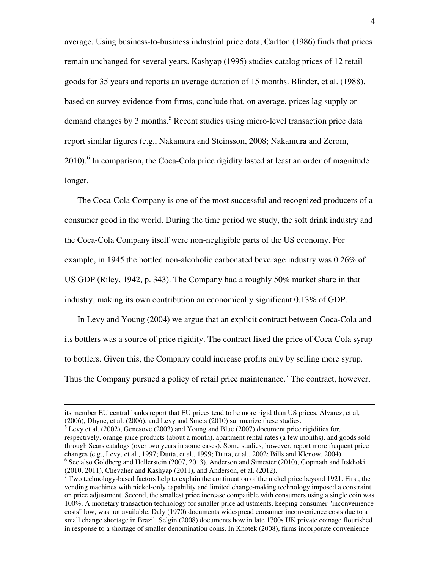average. Using business-to-business industrial price data, Carlton (1986) finds that prices remain unchanged for several years. Kashyap (1995) studies catalog prices of 12 retail goods for 35 years and reports an average duration of 15 months. Blinder, et al. (1988), based on survey evidence from firms, conclude that, on average, prices lag supply or demand changes by 3 months.<sup>5</sup> Recent studies using micro-level transaction price data report similar figures (e.g., Nakamura and Steinsson, 2008; Nakamura and Zerom, 2010).<sup>6</sup> In comparison, the Coca-Cola price rigidity lasted at least an order of magnitude longer.

The Coca-Cola Company is one of the most successful and recognized producers of a consumer good in the world. During the time period we study, the soft drink industry and the Coca-Cola Company itself were non-negligible parts of the US economy. For example, in 1945 the bottled non-alcoholic carbonated beverage industry was 0.26% of US GDP (Riley, 1942, p. 343). The Company had a roughly 50% market share in that industry, making its own contribution an economically significant 0.13% of GDP.

In Levy and Young (2004) we argue that an explicit contract between Coca-Cola and its bottlers was a source of price rigidity. The contract fixed the price of Coca-Cola syrup to bottlers. Given this, the Company could increase profits only by selling more syrup. Thus the Company pursued a policy of retail price maintenance.<sup>7</sup> The contract, however,

1

respectively, orange juice products (about a month), apartment rental rates (a few months), and goods sold through Sears catalogs (over two years in some cases). Some studies, however, report more frequent price changes (e.g., Levy, et al., 1997; Dutta, et al., 1999; Dutta, et al., 2002; Bills and Klenow, 2004). <sup>6</sup> See also Goldberg and Hellerstein (2007, 2013), Anderson and Simester (2010), Gopinath and Itskhoki (2010, 2011), Chevalier and Kashyap (2011), and Anderson, et al. (2012).

 $\overline{7}$  Two technology-based factors help to explain the continuation of the nickel price beyond 1921. First, the vending machines with nickel-only capability and limited change-making technology imposed a constraint on price adjustment. Second, the smallest price increase compatible with consumers using a single coin was 100%. A monetary transaction technology for smaller price adjustments, keeping consumer "inconvenience costs" low, was not available. Daly (1970) documents widespread consumer inconvenience costs due to a small change shortage in Brazil. Selgin (2008) documents how in late 1700s UK private coinage flourished in response to a shortage of smaller denomination coins. In Knotek (2008), firms incorporate convenience

its member EU central banks report that EU prices tend to be more rigid than US prices. Álvarez, et al, (2006), Dhyne, et al. (2006), and Levy and Smets (2010) summarize these studies.<br><sup>5</sup> Levy et al. (2002), Genesove (2003) and Young and Blue (2007) document price rigidities for,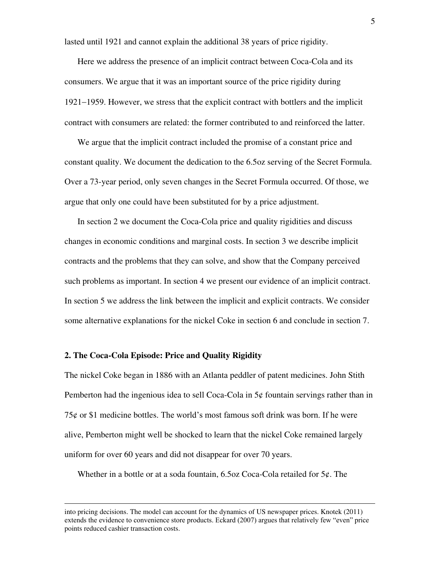lasted until 1921 and cannot explain the additional 38 years of price rigidity.

Here we address the presence of an implicit contract between Coca-Cola and its consumers. We argue that it was an important source of the price rigidity during  $1921-1959$ . However, we stress that the explicit contract with bottlers and the implicit contract with consumers are related: the former contributed to and reinforced the latter.

We argue that the implicit contract included the promise of a constant price and constant quality. We document the dedication to the 6.5oz serving of the Secret Formula. Over a 73-year period, only seven changes in the Secret Formula occurred. Of those, we argue that only one could have been substituted for by a price adjustment.

In section 2 we document the Coca-Cola price and quality rigidities and discuss changes in economic conditions and marginal costs. In section 3 we describe implicit contracts and the problems that they can solve, and show that the Company perceived such problems as important. In section 4 we present our evidence of an implicit contract. In section 5 we address the link between the implicit and explicit contracts. We consider some alternative explanations for the nickel Coke in section 6 and conclude in section 7.

#### **2. The Coca-Cola Episode: Price and Quality Rigidity**

1

The nickel Coke began in 1886 with an Atlanta peddler of patent medicines. John Stith Pemberton had the ingenious idea to sell Coca-Cola in 5¢ fountain servings rather than in 75 $\varphi$  or \$1 medicine bottles. The world's most famous soft drink was born. If he were alive, Pemberton might well be shocked to learn that the nickel Coke remained largely uniform for over 60 years and did not disappear for over 70 years.

Whether in a bottle or at a soda fountain, 6.5oz Coca-Cola retailed for 5¢. The

into pricing decisions. The model can account for the dynamics of US newspaper prices. Knotek (2011) extends the evidence to convenience store products. Eckard (2007) argues that relatively few "even" price points reduced cashier transaction costs.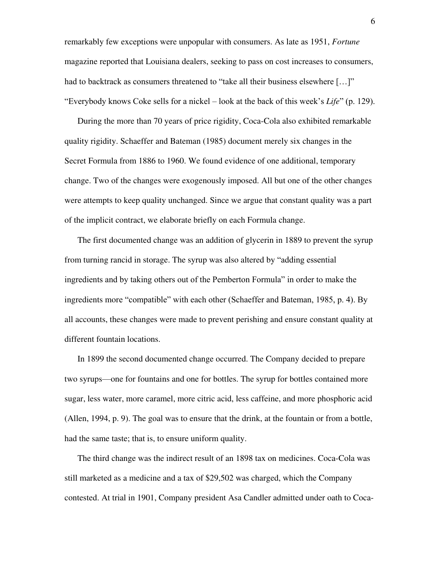remarkably few exceptions were unpopular with consumers. As late as 1951, *Fortune*  magazine reported that Louisiana dealers, seeking to pass on cost increases to consumers, had to backtrack as consumers threatened to "take all their business elsewhere [...]" "Everybody knows Coke sells for a nickel – look at the back of this week's *Life*" (p. 129).

During the more than 70 years of price rigidity, Coca-Cola also exhibited remarkable quality rigidity. Schaeffer and Bateman (1985) document merely six changes in the Secret Formula from 1886 to 1960. We found evidence of one additional, temporary change. Two of the changes were exogenously imposed. All but one of the other changes were attempts to keep quality unchanged. Since we argue that constant quality was a part of the implicit contract, we elaborate briefly on each Formula change.

The first documented change was an addition of glycerin in 1889 to prevent the syrup from turning rancid in storage. The syrup was also altered by "adding essential ingredients and by taking others out of the Pemberton Formula" in order to make the ingredients more "compatible" with each other (Schaeffer and Bateman, 1985, p. 4). By all accounts, these changes were made to prevent perishing and ensure constant quality at different fountain locations.

In 1899 the second documented change occurred. The Company decided to prepare two syrups—one for fountains and one for bottles. The syrup for bottles contained more sugar, less water, more caramel, more citric acid, less caffeine, and more phosphoric acid (Allen, 1994, p. 9). The goal was to ensure that the drink, at the fountain or from a bottle, had the same taste; that is, to ensure uniform quality.

The third change was the indirect result of an 1898 tax on medicines. Coca-Cola was still marketed as a medicine and a tax of \$29,502 was charged, which the Company contested. At trial in 1901, Company president Asa Candler admitted under oath to Coca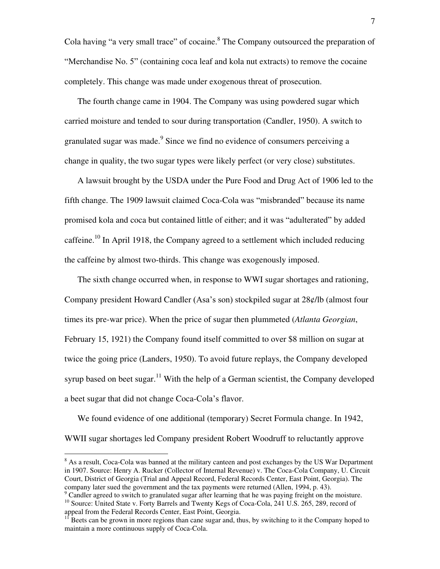Cola having "a very small trace" of cocaine.<sup>8</sup> The Company outsourced the preparation of "Merchandise No. 5" (containing coca leaf and kola nut extracts) to remove the cocaine completely. This change was made under exogenous threat of prosecution.

The fourth change came in 1904. The Company was using powdered sugar which carried moisture and tended to sour during transportation (Candler, 1950). A switch to granulated sugar was made. $9$  Since we find no evidence of consumers perceiving a change in quality, the two sugar types were likely perfect (or very close) substitutes.

A lawsuit brought by the USDA under the Pure Food and Drug Act of 1906 led to the fifth change. The 1909 lawsuit claimed Coca-Cola was "misbranded" because its name promised kola and coca but contained little of either; and it was "adulterated" by added caffeine.<sup>10</sup> In April 1918, the Company agreed to a settlement which included reducing the caffeine by almost two-thirds. This change was exogenously imposed.

The sixth change occurred when, in response to WWI sugar shortages and rationing, Company president Howard Candler (Asa's son) stockpiled sugar at 28¢/lb (almost four times its pre-war price). When the price of sugar then plummeted (*Atlanta Georgian*, February 15, 1921) the Company found itself committed to over \$8 million on sugar at twice the going price (Landers, 1950). To avoid future replays, the Company developed syrup based on beet sugar.<sup>11</sup> With the help of a German scientist, the Company developed a beet sugar that did not change Coca-Cola's flavor.

We found evidence of one additional (temporary) Secret Formula change. In 1942, WWII sugar shortages led Company president Robert Woodruff to reluctantly approve

<sup>&</sup>lt;sup>8</sup> As a result, Coca-Cola was banned at the military canteen and post exchanges by the US War Department in 1907. Source: Henry A. Rucker (Collector of Internal Revenue) v. The Coca-Cola Company, U. Circuit Court, District of Georgia (Trial and Appeal Record, Federal Records Center, East Point, Georgia). The company later sued the government and the tax payments were returned (Allen, 1994, p. 43).

<sup>&</sup>lt;sup>9</sup> Candler agreed to switch to granulated sugar after learning that he was paying freight on the moisture. <sup>10</sup> Source: United State v. Forty Barrels and Twenty Kegs of Coca-Cola, 241 U.S. 265, 289, record of appeal from the Federal Records Center, East Point, Georgia.

<sup>&</sup>lt;sup>11</sup> Beets can be grown in more regions than cane sugar and, thus, by switching to it the Company hoped to maintain a more continuous supply of Coca-Cola.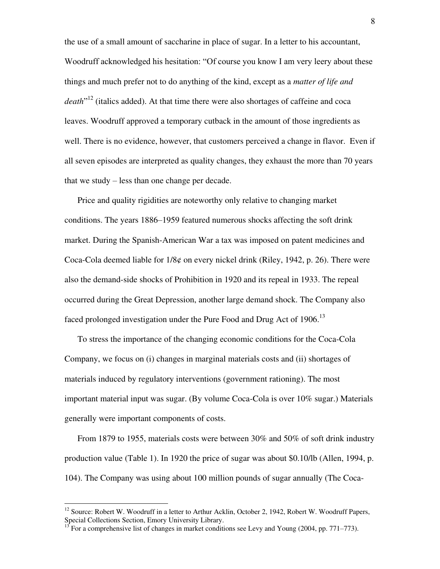the use of a small amount of saccharine in place of sugar. In a letter to his accountant, Woodruff acknowledged his hesitation: "Of course you know I am very leery about these things and much prefer not to do anything of the kind, except as a *matter of life and death*" <sup>12</sup> (italics added). At that time there were also shortages of caffeine and coca leaves. Woodruff approved a temporary cutback in the amount of those ingredients as well. There is no evidence, however, that customers perceived a change in flavor. Even if all seven episodes are interpreted as quality changes, they exhaust the more than 70 years that we study – less than one change per decade.

Price and quality rigidities are noteworthy only relative to changing market conditions. The years 1886–1959 featured numerous shocks affecting the soft drink market. During the Spanish-American War a tax was imposed on patent medicines and Coca-Cola deemed liable for  $1/8¢$  on every nickel drink (Riley, 1942, p. 26). There were also the demand-side shocks of Prohibition in 1920 and its repeal in 1933. The repeal occurred during the Great Depression, another large demand shock. The Company also faced prolonged investigation under the Pure Food and Drug Act of 1906.<sup>13</sup>

To stress the importance of the changing economic conditions for the Coca-Cola Company, we focus on (i) changes in marginal materials costs and (ii) shortages of materials induced by regulatory interventions (government rationing). The most important material input was sugar. (By volume Coca-Cola is over 10% sugar.) Materials generally were important components of costs.

From 1879 to 1955, materials costs were between 30% and 50% of soft drink industry production value (Table 1). In 1920 the price of sugar was about \$0.10/lb (Allen, 1994, p. 104). The Company was using about 100 million pounds of sugar annually (The Coca-

<sup>&</sup>lt;sup>12</sup> Source: Robert W. Woodruff in a letter to Arthur Acklin, October 2, 1942, Robert W. Woodruff Papers, Special Collections Section, Emory University Library.

<sup>13</sup> For a comprehensive list of changes in market conditions see Levy and Young (2004, pp. 771–773).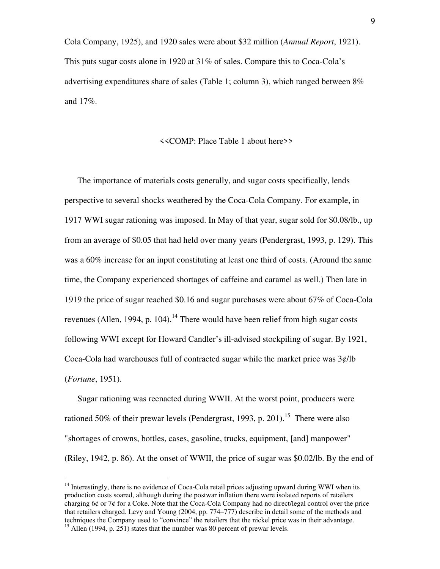Cola Company, 1925), and 1920 sales were about \$32 million (*Annual Report*, 1921). This puts sugar costs alone in 1920 at 31% of sales. Compare this to Coca-Cola's advertising expenditures share of sales (Table 1; column 3), which ranged between 8% and 17%.

#### <<COMP: Place Table 1 about here>>

The importance of materials costs generally, and sugar costs specifically, lends perspective to several shocks weathered by the Coca-Cola Company. For example, in 1917 WWI sugar rationing was imposed. In May of that year, sugar sold for \$0.08/lb., up from an average of \$0.05 that had held over many years (Pendergrast, 1993, p. 129). This was a 60% increase for an input constituting at least one third of costs. (Around the same time, the Company experienced shortages of caffeine and caramel as well.) Then late in 1919 the price of sugar reached \$0.16 and sugar purchases were about 67% of Coca-Cola revenues (Allen, 1994, p. 104).<sup>14</sup> There would have been relief from high sugar costs following WWI except for Howard Candler's ill-advised stockpiling of sugar. By 1921, Coca-Cola had warehouses full of contracted sugar while the market price was 3¢/lb (*Fortune*, 1951).

Sugar rationing was reenacted during WWII. At the worst point, producers were rationed 50% of their prewar levels (Pendergrast, 1993, p. 201).<sup>15</sup> There were also "shortages of crowns, bottles, cases, gasoline, trucks, equipment, [and] manpower" (Riley, 1942, p. 86). At the onset of WWII, the price of sugar was \$0.02/lb. By the end of

 $14$  Interestingly, there is no evidence of Coca-Cola retail prices adjusting upward during WWI when its production costs soared, although during the postwar inflation there were isolated reports of retailers charging 6¢ or 7¢ for a Coke. Note that the Coca-Cola Company had no direct/legal control over the price that retailers charged. Levy and Young (2004, pp. 774–777) describe in detail some of the methods and techniques the Company used to "convince" the retailers that the nickel price was in their advantage.

<sup>&</sup>lt;sup>15</sup> Allen (1994, p. 251) states that the number was 80 percent of prewar levels.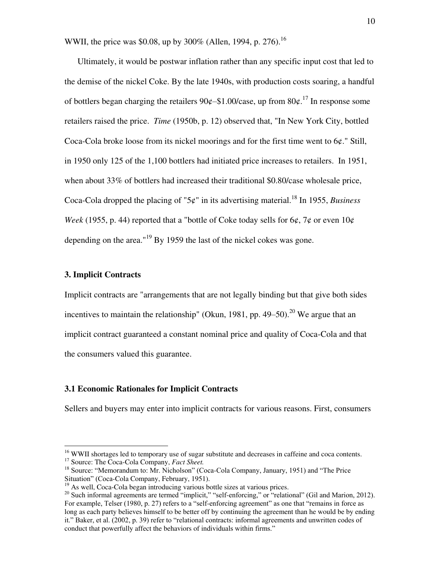WWII, the price was \$0.08, up by 300% (Allen, 1994, p. 276).<sup>16</sup>

Ultimately, it would be postwar inflation rather than any specific input cost that led to the demise of the nickel Coke. By the late 1940s, with production costs soaring, a handful of bottlers began charging the retailers  $90¢-1.00/case$ , up from  $80¢$ .<sup>17</sup> In response some retailers raised the price. *Time* (1950b, p. 12) observed that, "In New York City, bottled Coca-Cola broke loose from its nickel moorings and for the first time went to 6¢." Still, in 1950 only 125 of the 1,100 bottlers had initiated price increases to retailers. In 1951, when about 33% of bottlers had increased their traditional \$0.80/case wholesale price, Coca-Cola dropped the placing of " $5¢$ " in its advertising material.<sup>18</sup> In 1955, *Business Week* (1955, p. 44) reported that a "bottle of Coke today sells for  $6¢$ ,  $7¢$  or even  $10¢$ depending on the area."<sup>19</sup> By 1959 the last of the nickel cokes was gone.

#### **3. Implicit Contracts**

Implicit contracts are "arrangements that are not legally binding but that give both sides incentives to maintain the relationship" (Okun, 1981, pp. 49–50).<sup>20</sup> We argue that an implicit contract guaranteed a constant nominal price and quality of Coca-Cola and that the consumers valued this guarantee.

#### **3.1 Economic Rationales for Implicit Contracts**

Sellers and buyers may enter into implicit contracts for various reasons. First, consumers

<sup>&</sup>lt;sup>16</sup> WWII shortages led to temporary use of sugar substitute and decreases in caffeine and coca contents.

<sup>17</sup> Source: The Coca-Cola Company, *Fact Sheet.* 

<sup>&</sup>lt;sup>18</sup> Source: "Memorandum to: Mr. Nicholson" (Coca-Cola Company, January, 1951) and "The Price Situation" (Coca-Cola Company, February, 1951).

<sup>&</sup>lt;sup>19</sup> As well, Coca-Cola began introducing various bottle sizes at various prices.

<sup>&</sup>lt;sup>20</sup> Such informal agreements are termed "implicit," "self-enforcing," or "relational" (Gil and Marion, 2012). For example, Telser (1980, p. 27) refers to a "self-enforcing agreement" as one that "remains in force as long as each party believes himself to be better off by continuing the agreement than he would be by ending it." Baker, et al. (2002, p. 39) refer to "relational contracts: informal agreements and unwritten codes of conduct that powerfully affect the behaviors of individuals within firms."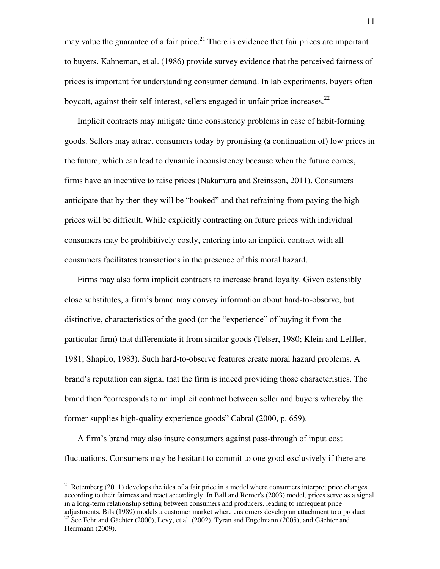may value the guarantee of a fair price.<sup>21</sup> There is evidence that fair prices are important to buyers. Kahneman, et al. (1986) provide survey evidence that the perceived fairness of prices is important for understanding consumer demand. In lab experiments, buyers often boycott, against their self-interest, sellers engaged in unfair price increases. $^{22}$ 

Implicit contracts may mitigate time consistency problems in case of habit-forming goods. Sellers may attract consumers today by promising (a continuation of) low prices in the future, which can lead to dynamic inconsistency because when the future comes, firms have an incentive to raise prices (Nakamura and Steinsson, 2011). Consumers anticipate that by then they will be "hooked" and that refraining from paying the high prices will be difficult. While explicitly contracting on future prices with individual consumers may be prohibitively costly, entering into an implicit contract with all consumers facilitates transactions in the presence of this moral hazard.

Firms may also form implicit contracts to increase brand loyalty. Given ostensibly close substitutes, a firm's brand may convey information about hard-to-observe, but distinctive, characteristics of the good (or the "experience" of buying it from the particular firm) that differentiate it from similar goods (Telser, 1980; Klein and Leffler, 1981; Shapiro, 1983). Such hard-to-observe features create moral hazard problems. A brand's reputation can signal that the firm is indeed providing those characteristics. The brand then "corresponds to an implicit contract between seller and buyers whereby the former supplies high-quality experience goods" Cabral (2000, p. 659).

A firm's brand may also insure consumers against pass-through of input cost fluctuations. Consumers may be hesitant to commit to one good exclusively if there are

<sup>&</sup>lt;sup>21</sup> Rotemberg (2011) develops the idea of a fair price in a model where consumers interpret price changes according to their fairness and react accordingly. In Ball and Romer's (2003) model, prices serve as a signal in a long-term relationship setting between consumers and producers, leading to infrequent price adjustments. Bils (1989) models a customer market where customers develop an attachment to a product. <sup>22</sup> See Fehr and Gächter (2000), Levy, et al. (2002), Tyran and Engelmann (2005), and Gächter and Herrmann (2009).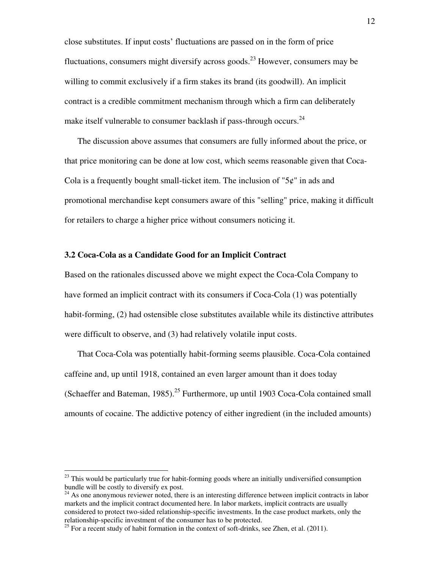close substitutes. If input costs' fluctuations are passed on in the form of price fluctuations, consumers might diversify across goods.<sup>23</sup> However, consumers may be willing to commit exclusively if a firm stakes its brand (its goodwill). An implicit contract is a credible commitment mechanism through which a firm can deliberately make itself vulnerable to consumer backlash if pass-through occurs.<sup>24</sup>

The discussion above assumes that consumers are fully informed about the price, or that price monitoring can be done at low cost, which seems reasonable given that Coca-Cola is a frequently bought small-ticket item. The inclusion of " $5¢$ " in ads and promotional merchandise kept consumers aware of this "selling" price, making it difficult for retailers to charge a higher price without consumers noticing it.

#### **3.2 Coca-Cola as a Candidate Good for an Implicit Contract**

Based on the rationales discussed above we might expect the Coca-Cola Company to have formed an implicit contract with its consumers if Coca-Cola (1) was potentially habit-forming, (2) had ostensible close substitutes available while its distinctive attributes were difficult to observe, and (3) had relatively volatile input costs.

That Coca-Cola was potentially habit-forming seems plausible. Coca-Cola contained caffeine and, up until 1918, contained an even larger amount than it does today (Schaeffer and Bateman, 1985).<sup>25</sup> Furthermore, up until 1903 Coca-Cola contained small amounts of cocaine. The addictive potency of either ingredient (in the included amounts)

 $^{23}$  This would be particularly true for habit-forming goods where an initially undiversified consumption bundle will be costly to diversify ex post.

<sup>&</sup>lt;sup>24</sup> As one anonymous reviewer noted, there is an interesting difference between implicit contracts in labor markets and the implicit contract documented here. In labor markets, implicit contracts are usually considered to protect two-sided relationship-specific investments. In the case product markets, only the relationship-specific investment of the consumer has to be protected.

 $25$  For a recent study of habit formation in the context of soft-drinks, see Zhen, et al. (2011).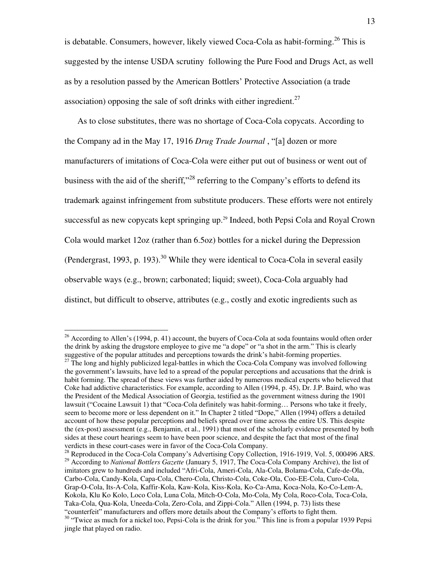is debatable. Consumers, however, likely viewed Coca-Cola as habit-forming.<sup>26</sup> This is suggested by the intense USDA scrutiny following the Pure Food and Drugs Act, as well as by a resolution passed by the American Bottlers' Protective Association (a trade association) opposing the sale of soft drinks with either ingredient.<sup>27</sup>

As to close substitutes, there was no shortage of Coca-Cola copycats. According to the Company ad in the May 17, 1916 *Drug Trade Journal* , "[a] dozen or more manufacturers of imitations of Coca-Cola were either put out of business or went out of business with the aid of the sheriff,"<sup>28</sup> referring to the Company's efforts to defend its trademark against infringement from substitute producers. These efforts were not entirely successful as new copycats kept springing up.<sup>29</sup> Indeed, both Pepsi Cola and Royal Crown Cola would market 12oz (rather than 6.5oz) bottles for a nickel during the Depression (Pendergrast, 1993, p. 193).<sup>30</sup> While they were identical to Coca-Cola in several easily observable ways (e.g., brown; carbonated; liquid; sweet), Coca-Cola arguably had distinct, but difficult to observe, attributes (e.g., costly and exotic ingredients such as

<sup>&</sup>lt;sup>26</sup> According to Allen's (1994, p. 41) account, the buyers of Coca-Cola at soda fountains would often order the drink by asking the drugstore employee to give me "a dope" or "a shot in the arm." This is clearly suggestive of the popular attitudes and perceptions towards the drink's habit-forming properties.

<sup>&</sup>lt;sup>27</sup> The long and highly publicized legal-battles in which the Coca-Cola Company was involved following the government's lawsuits, have led to a spread of the popular perceptions and accusations that the drink is habit forming. The spread of these views was further aided by numerous medical experts who believed that Coke had addictive characteristics. For example, according to Allen (1994, p. 45), Dr. J.P. Baird, who was the President of the Medical Association of Georgia, testified as the government witness during the 1901 lawsuit ("Cocaine Lawsuit 1) that "Coca-Cola definitely was habit-forming… Persons who take it freely, seem to become more or less dependent on it." In Chapter 2 titled "Dope," Allen (1994) offers a detailed account of how these popular perceptions and beliefs spread over time across the entire US. This despite the (ex-post) assessment (e.g., Benjamin, et al., 1991) that most of the scholarly evidence presented by both sides at these court hearings seem to have been poor science, and despite the fact that most of the final verdicts in these court-cases were in favor of the Coca-Cola Company.

<sup>&</sup>lt;sup>28</sup> Reproduced in the Coca-Cola Company's Advertising Copy Collection, 1916-1919, Vol. 5, 000496 ARS. <sup>29</sup> According to *National Bottlers Gazette* (January 5, 1917, The Coca-Cola Company Archive), the list of imitators grew to hundreds and included "Afri-Cola, Ameri-Cola, Ala-Cola, Bolama-Cola, Cafe-de-Ola, Carbo-Cola, Candy-Kola, Capa-Cola, Chero-Cola, Christo-Cola, Coke-Ola, Coo-EE-Cola, Curo-Cola, Grap-O-Cola, Its-A-Cola, Kaffir-Kola, Kaw-Kola, Kiss-Kola, Ko-Ca-Ama, Koca-Nola, Ko-Co-Lem-A, Kokola, Klu Ko Kolo, Loco Cola, Luna Cola, Mitch-O-Cola, Mo-Cola, My Cola, Roco-Cola, Toca-Cola, Taka-Cola, Qua-Kola, Uneeda-Cola, Zero-Cola, and Zippi-Cola." Allen (1994, p. 73) lists these "counterfeit" manufacturers and offers more details about the Company's efforts to fight them. <sup>30</sup> "Twice as much for a nickel too, Pepsi-Cola is the drink for you." This line is from a popular 1939 Pepsi

jingle that played on radio.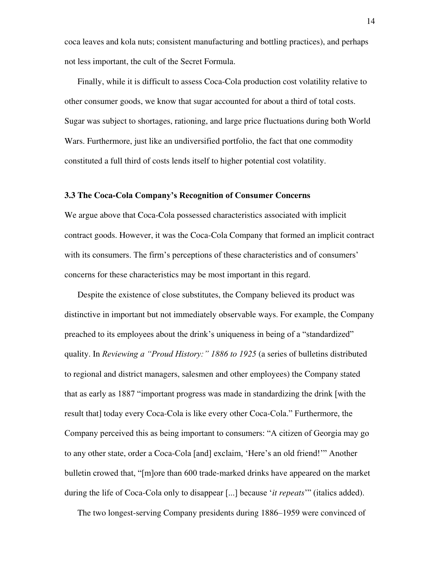coca leaves and kola nuts; consistent manufacturing and bottling practices), and perhaps not less important, the cult of the Secret Formula.

Finally, while it is difficult to assess Coca-Cola production cost volatility relative to other consumer goods, we know that sugar accounted for about a third of total costs. Sugar was subject to shortages, rationing, and large price fluctuations during both World Wars. Furthermore, just like an undiversified portfolio, the fact that one commodity constituted a full third of costs lends itself to higher potential cost volatility.

#### **3.3 The Coca-Cola Company's Recognition of Consumer Concerns**

We argue above that Coca-Cola possessed characteristics associated with implicit contract goods. However, it was the Coca-Cola Company that formed an implicit contract with its consumers. The firm's perceptions of these characteristics and of consumers' concerns for these characteristics may be most important in this regard.

Despite the existence of close substitutes, the Company believed its product was distinctive in important but not immediately observable ways. For example, the Company preached to its employees about the drink's uniqueness in being of a "standardized" quality. In *Reviewing a "Proud History:" 1886 to 1925* (a series of bulletins distributed to regional and district managers, salesmen and other employees) the Company stated that as early as 1887 "important progress was made in standardizing the drink [with the result that] today every Coca-Cola is like every other Coca-Cola." Furthermore, the Company perceived this as being important to consumers: "A citizen of Georgia may go to any other state, order a Coca-Cola [and] exclaim, 'Here's an old friend!'" Another bulletin crowed that, "[m]ore than 600 trade-marked drinks have appeared on the market during the life of Coca-Cola only to disappear [...] because '*it repeats*'" (italics added).

The two longest-serving Company presidents during 1886–1959 were convinced of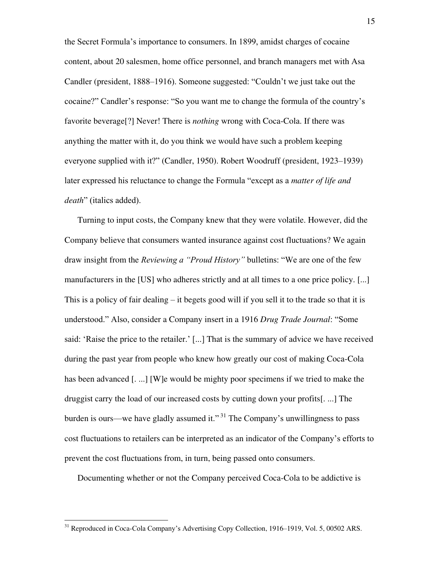the Secret Formula's importance to consumers. In 1899, amidst charges of cocaine content, about 20 salesmen, home office personnel, and branch managers met with Asa Candler (president, 1888–1916). Someone suggested: "Couldn't we just take out the cocaine?" Candler's response: "So you want me to change the formula of the country's favorite beverage[?] Never! There is *nothing* wrong with Coca-Cola. If there was anything the matter with it, do you think we would have such a problem keeping everyone supplied with it?" (Candler, 1950). Robert Woodruff (president, 1923–1939) later expressed his reluctance to change the Formula "except as a *matter of life and death*" (italics added).

Turning to input costs, the Company knew that they were volatile. However, did the Company believe that consumers wanted insurance against cost fluctuations? We again draw insight from the *Reviewing a "Proud History"* bulletins: "We are one of the few manufacturers in the [US] who adheres strictly and at all times to a one price policy. [...] This is a policy of fair dealing – it begets good will if you sell it to the trade so that it is understood." Also, consider a Company insert in a 1916 *Drug Trade Journal*: "Some said: 'Raise the price to the retailer.' [...] That is the summary of advice we have received during the past year from people who knew how greatly our cost of making Coca-Cola has been advanced [....] [W]e would be mighty poor specimens if we tried to make the druggist carry the load of our increased costs by cutting down your profits[. ...] The burden is ours—we have gladly assumed it."<sup>31</sup> The Company's unwillingness to pass cost fluctuations to retailers can be interpreted as an indicator of the Company's efforts to prevent the cost fluctuations from, in turn, being passed onto consumers.

Documenting whether or not the Company perceived Coca-Cola to be addictive is

<sup>&</sup>lt;sup>31</sup> Reproduced in Coca-Cola Company's Advertising Copy Collection, 1916–1919, Vol. 5, 00502 ARS.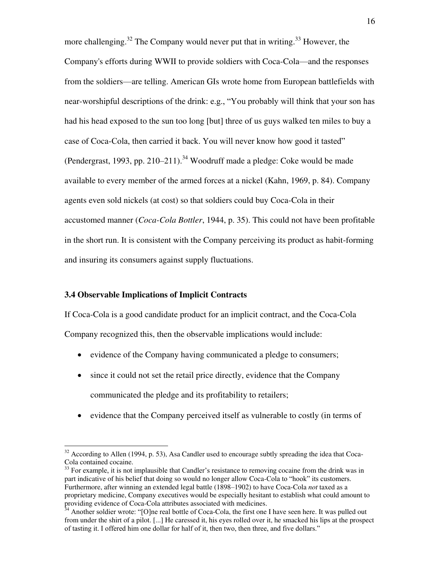more challenging.<sup>32</sup> The Company would never put that in writing.<sup>33</sup> However, the Company's efforts during WWII to provide soldiers with Coca-Cola—and the responses from the soldiers—are telling. American GIs wrote home from European battlefields with near-worshipful descriptions of the drink: e.g., "You probably will think that your son has had his head exposed to the sun too long [but] three of us guys walked ten miles to buy a case of Coca-Cola, then carried it back. You will never know how good it tasted" (Pendergrast, 1993, pp. 210–211).<sup>34</sup> Woodruff made a pledge: Coke would be made available to every member of the armed forces at a nickel (Kahn, 1969, p. 84). Company agents even sold nickels (at cost) so that soldiers could buy Coca-Cola in their accustomed manner (*Coca-Cola Bottler*, 1944, p. 35). This could not have been profitable in the short run. It is consistent with the Company perceiving its product as habit-forming and insuring its consumers against supply fluctuations.

#### **3.4 Observable Implications of Implicit Contracts**

 $\overline{a}$ 

If Coca-Cola is a good candidate product for an implicit contract, and the Coca-Cola Company recognized this, then the observable implications would include:

- evidence of the Company having communicated a pledge to consumers;
- since it could not set the retail price directly, evidence that the Company communicated the pledge and its profitability to retailers;
- evidence that the Company perceived itself as vulnerable to costly (in terms of

 $32$  According to Allen (1994, p. 53), Asa Candler used to encourage subtly spreading the idea that Coca-Cola contained cocaine.

 $33$  For example, it is not implausible that Candler's resistance to removing cocaine from the drink was in part indicative of his belief that doing so would no longer allow Coca-Cola to "hook" its customers. Furthermore, after winning an extended legal battle (1898–1902) to have Coca-Cola *not* taxed as a proprietary medicine, Company executives would be especially hesitant to establish what could amount to providing evidence of Coca-Cola attributes associated with medicines.

<sup>&</sup>lt;sup>34</sup> Another soldier wrote: "[O]ne real bottle of Coca-Cola, the first one I have seen here. It was pulled out from under the shirt of a pilot. [...] He caressed it, his eyes rolled over it, he smacked his lips at the prospect of tasting it. I offered him one dollar for half of it, then two, then three, and five dollars."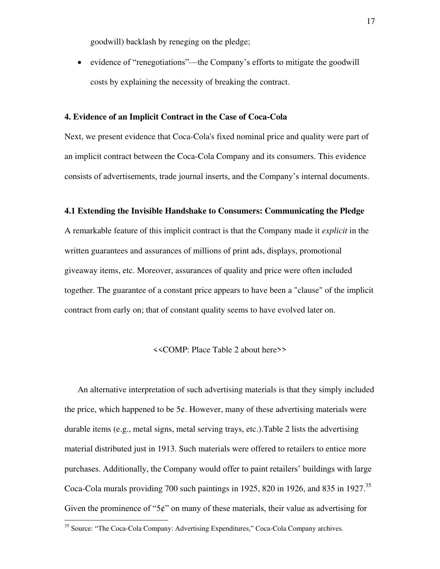goodwill) backlash by reneging on the pledge;

• evidence of "renegotiations"—the Company's efforts to mitigate the goodwill costs by explaining the necessity of breaking the contract.

#### **4. Evidence of an Implicit Contract in the Case of Coca-Cola**

Next, we present evidence that Coca-Cola's fixed nominal price and quality were part of an implicit contract between the Coca-Cola Company and its consumers. This evidence consists of advertisements, trade journal inserts, and the Company's internal documents.

#### **4.1 Extending the Invisible Handshake to Consumers: Communicating the Pledge**

A remarkable feature of this implicit contract is that the Company made it *explicit* in the written guarantees and assurances of millions of print ads, displays, promotional giveaway items, etc. Moreover, assurances of quality and price were often included together. The guarantee of a constant price appears to have been a "clause" of the implicit contract from early on; that of constant quality seems to have evolved later on.

#### <<COMP: Place Table 2 about here>>

An alternative interpretation of such advertising materials is that they simply included the price, which happened to be  $5¢$ . However, many of these advertising materials were durable items (e.g., metal signs, metal serving trays, etc.).Table 2 lists the advertising material distributed just in 1913. Such materials were offered to retailers to entice more purchases. Additionally, the Company would offer to paint retailers' buildings with large Coca-Cola murals providing 700 such paintings in 1925, 820 in 1926, and 835 in 1927.<sup>35</sup> Given the prominence of " $5¢$ " on many of these materials, their value as advertising for  $\overline{a}$ 

<sup>&</sup>lt;sup>35</sup> Source: "The Coca-Cola Company: Advertising Expenditures," Coca-Cola Company archives.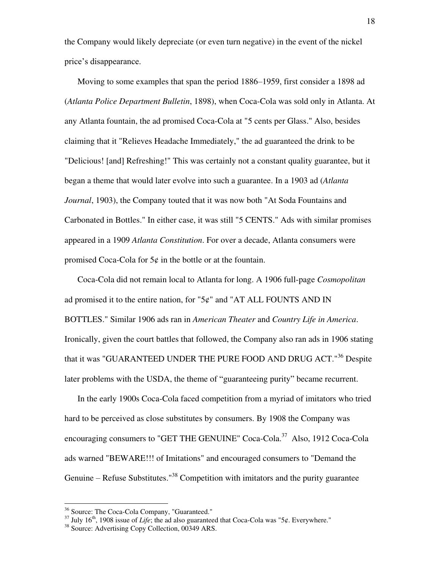the Company would likely depreciate (or even turn negative) in the event of the nickel price's disappearance.

Moving to some examples that span the period 1886–1959, first consider a 1898 ad (*Atlanta Police Department Bulletin*, 1898), when Coca-Cola was sold only in Atlanta. At any Atlanta fountain, the ad promised Coca-Cola at "5 cents per Glass." Also, besides claiming that it "Relieves Headache Immediately," the ad guaranteed the drink to be "Delicious! [and] Refreshing!" This was certainly not a constant quality guarantee, but it began a theme that would later evolve into such a guarantee. In a 1903 ad (*Atlanta Journal*, 1903), the Company touted that it was now both "At Soda Fountains and Carbonated in Bottles." In either case, it was still "5 CENTS." Ads with similar promises appeared in a 1909 *Atlanta Constitution*. For over a decade, Atlanta consumers were promised Coca-Cola for  $5¢$  in the bottle or at the fountain.

Coca-Cola did not remain local to Atlanta for long. A 1906 full-page *Cosmopolitan*  ad promised it to the entire nation, for "5¢" and "AT ALL FOUNTS AND IN BOTTLES." Similar 1906 ads ran in *American Theater* and *Country Life in America*. Ironically, given the court battles that followed, the Company also ran ads in 1906 stating that it was "GUARANTEED UNDER THE PURE FOOD AND DRUG ACT."<sup>36</sup> Despite later problems with the USDA, the theme of "guaranteeing purity" became recurrent.

In the early 1900s Coca-Cola faced competition from a myriad of imitators who tried hard to be perceived as close substitutes by consumers. By 1908 the Company was encouraging consumers to "GET THE GENUINE" Coca-Cola.<sup>37</sup> Also, 1912 Coca-Cola ads warned "BEWARE!!! of Imitations" and encouraged consumers to "Demand the Genuine – Refuse Substitutes."<sup>38</sup> Competition with imitators and the purity guarantee

<sup>36</sup> Source: The Coca-Cola Company, "Guaranteed."

 $37$  July 16<sup>th</sup>, 1908 issue of *Life*; the ad also guaranteed that Coca-Cola was "5¢. Everywhere."

<sup>38</sup> Source: Advertising Copy Collection, 00349 ARS.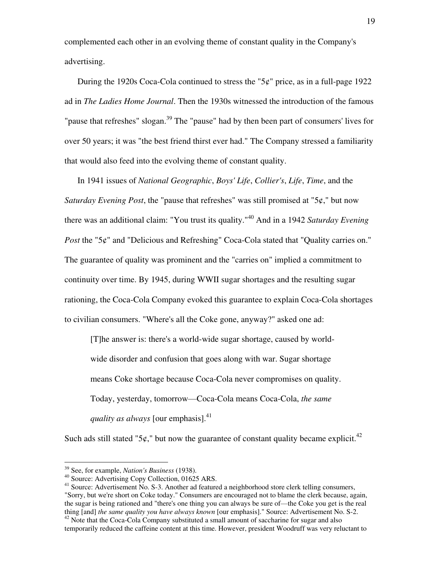complemented each other in an evolving theme of constant quality in the Company's advertising.

During the 1920s Coca-Cola continued to stress the "5¢" price, as in a full-page 1922 ad in *The Ladies Home Journal*. Then the 1930s witnessed the introduction of the famous "pause that refreshes" slogan.<sup>39</sup> The "pause" had by then been part of consumers' lives for over 50 years; it was "the best friend thirst ever had." The Company stressed a familiarity that would also feed into the evolving theme of constant quality.

In 1941 issues of *National Geographic*, *Boys' Life*, *Collier's*, *Life*, *Time*, and the *Saturday Evening Post*, the "pause that refreshes" was still promised at "5¢," but now there was an additional claim: "You trust its quality."<sup>40</sup> And in a 1942 *Saturday Evening Post* the "5¢" and "Delicious and Refreshing" Coca-Cola stated that "Quality carries on." The guarantee of quality was prominent and the "carries on" implied a commitment to continuity over time. By 1945, during WWII sugar shortages and the resulting sugar rationing, the Coca-Cola Company evoked this guarantee to explain Coca-Cola shortages to civilian consumers. "Where's all the Coke gone, anyway?" asked one ad:

[T]he answer is: there's a world-wide sugar shortage, caused by worldwide disorder and confusion that goes along with war. Sugar shortage means Coke shortage because Coca-Cola never compromises on quality. Today, yesterday, tomorrow—Coca-Cola means Coca-Cola, *the same quality as always* [our emphasis].<sup>41</sup>

Such ads still stated "5 $\varphi$ ," but now the guarantee of constant quality became explicit.<sup>42</sup>

<sup>39</sup> See, for example, *Nation's Business* (1938).

<sup>40</sup> Source: Advertising Copy Collection, 01625 ARS.

<sup>&</sup>lt;sup>41</sup> Source: Advertisement No. S-3. Another ad featured a neighborhood store clerk telling consumers, "Sorry, but we're short on Coke today." Consumers are encouraged not to blame the clerk because, again, the sugar is being rationed and "there's one thing you can always be sure of—the Coke you get is the real thing [and] *the same quality you have always known* [our emphasis]." Source: Advertisement No. S-2.  $42$  Note that the Coca-Cola Company substituted a small amount of saccharine for sugar and also

temporarily reduced the caffeine content at this time. However, president Woodruff was very reluctant to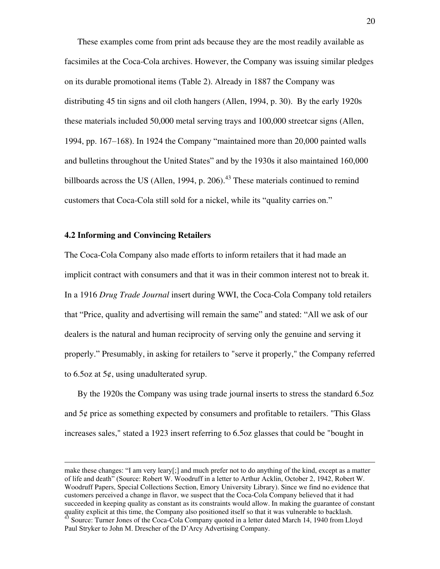These examples come from print ads because they are the most readily available as facsimiles at the Coca-Cola archives. However, the Company was issuing similar pledges on its durable promotional items (Table 2). Already in 1887 the Company was distributing 45 tin signs and oil cloth hangers (Allen, 1994, p. 30). By the early 1920s these materials included 50,000 metal serving trays and 100,000 streetcar signs (Allen, 1994, pp. 167–168). In 1924 the Company "maintained more than 20,000 painted walls and bulletins throughout the United States" and by the 1930s it also maintained 160,000 billboards across the US (Allen, 1994, p. 206).<sup>43</sup> These materials continued to remind customers that Coca-Cola still sold for a nickel, while its "quality carries on."

#### **4.2 Informing and Convincing Retailers**

1

The Coca-Cola Company also made efforts to inform retailers that it had made an implicit contract with consumers and that it was in their common interest not to break it. In a 1916 *Drug Trade Journal* insert during WWI, the Coca-Cola Company told retailers that "Price, quality and advertising will remain the same" and stated: "All we ask of our dealers is the natural and human reciprocity of serving only the genuine and serving it properly." Presumably, in asking for retailers to "serve it properly," the Company referred to 6.5oz at  $5¢$ , using unadulterated syrup.

By the 1920s the Company was using trade journal inserts to stress the standard 6.5oz and 5¢ price as something expected by consumers and profitable to retailers. "This Glass increases sales," stated a 1923 insert referring to 6.5oz glasses that could be "bought in

make these changes: "I am very leary[;] and much prefer not to do anything of the kind, except as a matter of life and death" (Source: Robert W. Woodruff in a letter to Arthur Acklin, October 2, 1942, Robert W. Woodruff Papers, Special Collections Section, Emory University Library). Since we find no evidence that customers perceived a change in flavor, we suspect that the Coca-Cola Company believed that it had succeeded in keeping quality as constant as its constraints would allow. In making the guarantee of constant quality explicit at this time, the Company also positioned itself so that it was vulnerable to backlash. <sup>43</sup> Source: Turner Jones of the Coca-Cola Company quoted in a letter dated March 14, 1940 from Lloyd Paul Stryker to John M. Drescher of the D'Arcy Advertising Company.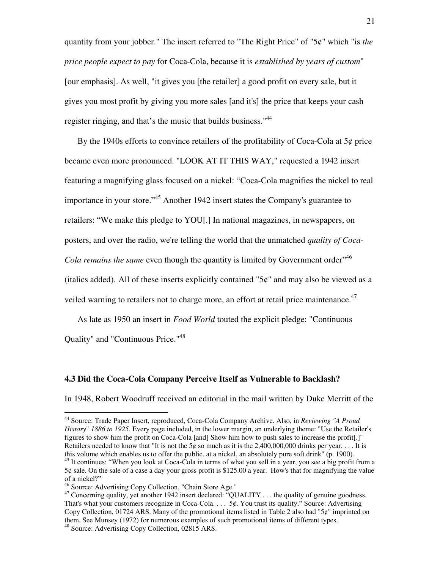quantity from your jobber." The insert referred to "The Right Price" of "5¢" which "is *the price people expect to pay* for Coca-Cola, because it is *established by years of custom*" [our emphasis]. As well, "it gives you [the retailer] a good profit on every sale, but it gives you most profit by giving you more sales [and it's] the price that keeps your cash register ringing, and that's the music that builds business."<sup>44</sup>

By the 1940s efforts to convince retailers of the profitability of Coca-Cola at  $5¢$  price became even more pronounced. "LOOK AT IT THIS WAY," requested a 1942 insert featuring a magnifying glass focused on a nickel: "Coca-Cola magnifies the nickel to real importance in your store."<sup>45</sup> Another 1942 insert states the Company's guarantee to retailers: "We make this pledge to YOU[.] In national magazines, in newspapers, on posters, and over the radio, we're telling the world that the unmatched *quality of Coca-*Cola remains the same even though the quantity is limited by Government order<sup>746</sup> (italics added). All of these inserts explicitly contained " $5¢$ " and may also be viewed as a veiled warning to retailers not to charge more, an effort at retail price maintenance.<sup>47</sup>

As late as 1950 an insert in *Food World* touted the explicit pledge: "Continuous Quality" and "Continuous Price."<sup>48</sup>

#### **4.3 Did the Coca-Cola Company Perceive Itself as Vulnerable to Backlash?**

In 1948, Robert Woodruff received an editorial in the mail written by Duke Merritt of the

<sup>44</sup> Source: Trade Paper Insert, reproduced, Coca-Cola Company Archive. Also, in *Reviewing "A Proud History*" *1886 to 1925*. Every page included, in the lower margin, an underlying theme: "Use the Retailer's figures to show him the profit on Coca-Cola [and] Show him how to push sales to increase the profit[.]" Retailers needed to know that "It is not the 5¢ so much as it is the 2,400,000,000 drinks per year.... It is this volume which enables us to offer the public, at a nickel, an absolutely pure soft drink" (p. 1900).

 $45$  It continues: "When you look at Coca-Cola in terms of what you sell in a year, you see a big profit from a 5¢ sale. On the sale of a case a day your gross profit is \$125.00 a year. How's that for magnifying the value of a nickel?"

<sup>46</sup> Source: Advertising Copy Collection, "Chain Store Age."

<sup>&</sup>lt;sup>47</sup> Concerning quality, yet another 1942 insert declared: "QUALITY . . . the quality of genuine goodness. That's what your customers recognize in Coca-Cola. . . . 5¢. You trust its quality." Source: Advertising Copy Collection, 01724 ARS. Many of the promotional items listed in Table 2 also had "5¢" imprinted on them. See Munsey (1972) for numerous examples of such promotional items of different types.

<sup>48</sup> Source: Advertising Copy Collection, 02815 ARS.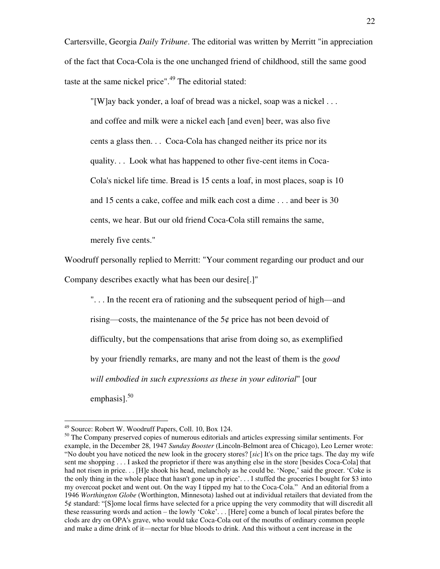Cartersville, Georgia *Daily Tribune*. The editorial was written by Merritt "in appreciation of the fact that Coca-Cola is the one unchanged friend of childhood, still the same good taste at the same nickel price".<sup>49</sup> The editorial stated:

"[W]ay back yonder, a loaf of bread was a nickel, soap was a nickel . . . and coffee and milk were a nickel each [and even] beer, was also five cents a glass then. . . Coca-Cola has changed neither its price nor its quality. . . Look what has happened to other five-cent items in Coca-Cola's nickel life time. Bread is 15 cents a loaf, in most places, soap is 10 and 15 cents a cake, coffee and milk each cost a dime . . . and beer is 30 cents, we hear. But our old friend Coca-Cola still remains the same, merely five cents."

Woodruff personally replied to Merritt: "Your comment regarding our product and our Company describes exactly what has been our desire[.]"

". . . In the recent era of rationing and the subsequent period of high—and rising—costs, the maintenance of the  $5¢$  price has not been devoid of difficulty, but the compensations that arise from doing so, as exemplified by your friendly remarks, are many and not the least of them is the *good will embodied in such expressions as these in your editorial*" [our emphasis]. $50$ 

<sup>&</sup>lt;sup>49</sup> Source: Robert W. Woodruff Papers, Coll. 10, Box 124.

<sup>&</sup>lt;sup>50</sup> The Company preserved copies of numerous editorials and articles expressing similar sentiments. For example, in the December 28, 1947 *Sunday Booster* (Lincoln-Belmont area of Chicago), Leo Lerner wrote: "No doubt you have noticed the new look in the grocery stores? [*sic*] It's on the price tags. The day my wife sent me shopping . . . I asked the proprietor if there was anything else in the store [besides Coca-Cola] that had not risen in price. . . [H]e shook his head, melancholy as he could be. 'Nope,' said the grocer. 'Coke is the only thing in the whole place that hasn't gone up in price'. . . I stuffed the groceries I bought for \$3 into my overcoat pocket and went out. On the way I tipped my hat to the Coca-Cola." And an editorial from a 1946 *Worthington Globe* (Worthington, Minnesota) lashed out at individual retailers that deviated from the 5¢ standard: "[S]ome local firms have selected for a price upping the very commodity that will discredit all these reassuring words and action – the lowly 'Coke'. . . [Here] come a bunch of local pirates before the clods are dry on OPA's grave, who would take Coca-Cola out of the mouths of ordinary common people and make a dime drink of it—nectar for blue bloods to drink. And this without a cent increase in the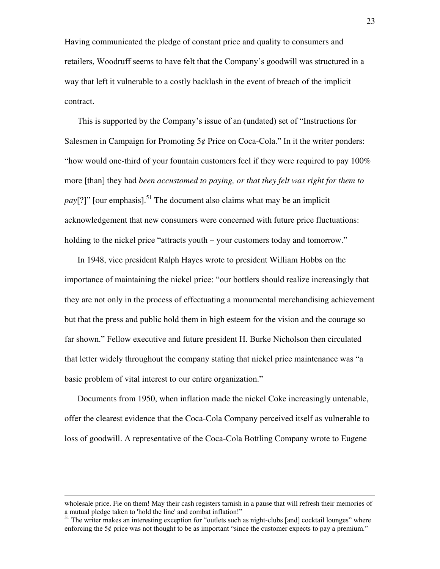Having communicated the pledge of constant price and quality to consumers and retailers, Woodruff seems to have felt that the Company's goodwill was structured in a way that left it vulnerable to a costly backlash in the event of breach of the implicit contract.

This is supported by the Company's issue of an (undated) set of "Instructions for Salesmen in Campaign for Promoting  $5¢$  Price on Coca-Cola." In it the writer ponders: "how would one-third of your fountain customers feel if they were required to pay 100% more [than] they had *been accustomed to paying, or that they felt was right for them to pay*[?]" [our emphasis].<sup>51</sup> The document also claims what may be an implicit acknowledgement that new consumers were concerned with future price fluctuations: holding to the nickel price "attracts youth – your customers today and tomorrow."

In 1948, vice president Ralph Hayes wrote to president William Hobbs on the importance of maintaining the nickel price: "our bottlers should realize increasingly that they are not only in the process of effectuating a monumental merchandising achievement but that the press and public hold them in high esteem for the vision and the courage so far shown." Fellow executive and future president H. Burke Nicholson then circulated that letter widely throughout the company stating that nickel price maintenance was "a basic problem of vital interest to our entire organization."

Documents from 1950, when inflation made the nickel Coke increasingly untenable, offer the clearest evidence that the Coca-Cola Company perceived itself as vulnerable to loss of goodwill. A representative of the Coca-Cola Bottling Company wrote to Eugene

1

wholesale price. Fie on them! May their cash registers tarnish in a pause that will refresh their memories of a mutual pledge taken to 'hold the line' and combat inflation!"

<sup>&</sup>lt;sup>51</sup> The writer makes an interesting exception for "outlets such as night-clubs [and] cocktail lounges" where enforcing the  $5¢$  price was not thought to be as important "since the customer expects to pay a premium."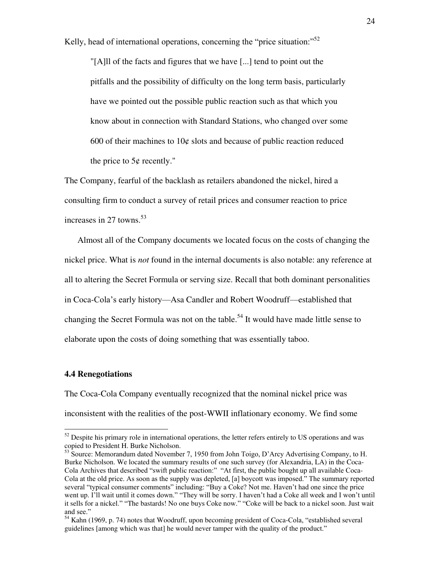Kelly, head of international operations, concerning the "price situation: $^{52}$ "

"[A]ll of the facts and figures that we have [...] tend to point out the pitfalls and the possibility of difficulty on the long term basis, particularly have we pointed out the possible public reaction such as that which you know about in connection with Standard Stations, who changed over some 600 of their machines to  $10¢$  slots and because of public reaction reduced the price to  $5¢$  recently."

The Company, fearful of the backlash as retailers abandoned the nickel, hired a consulting firm to conduct a survey of retail prices and consumer reaction to price increases in 27 towns.<sup>53</sup>

Almost all of the Company documents we located focus on the costs of changing the nickel price. What is *not* found in the internal documents is also notable: any reference at all to altering the Secret Formula or serving size. Recall that both dominant personalities in Coca-Cola's early history—Asa Candler and Robert Woodruff—established that changing the Secret Formula was not on the table.<sup>54</sup> It would have made little sense to elaborate upon the costs of doing something that was essentially taboo.

#### **4.4 Renegotiations**

 $\overline{a}$ 

The Coca-Cola Company eventually recognized that the nominal nickel price was inconsistent with the realities of the post-WWII inflationary economy. We find some

<sup>&</sup>lt;sup>52</sup> Despite his primary role in international operations, the letter refers entirely to US operations and was copied to President H. Burke Nicholson.

 $53$  Source: Memorandum dated November 7, 1950 from John Toigo, D'Arcy Advertising Company, to H. Burke Nicholson. We located the summary results of one such survey (for Alexandria, LA) in the Coca-Cola Archives that described "swift public reaction:" "At first, the public bought up all available Coca-Cola at the old price. As soon as the supply was depleted, [a] boycott was imposed." The summary reported several "typical consumer comments" including: "Buy a Coke? Not me. Haven't had one since the price went up. I'll wait until it comes down." "They will be sorry. I haven't had a Coke all week and I won't until it sells for a nickel." "The bastards! No one buys Coke now." "Coke will be back to a nickel soon. Just wait and see."

<sup>&</sup>lt;sup>54</sup> Kahn (1969, p. 74) notes that Woodruff, upon becoming president of Coca-Cola, "established several guidelines [among which was that] he would never tamper with the quality of the product."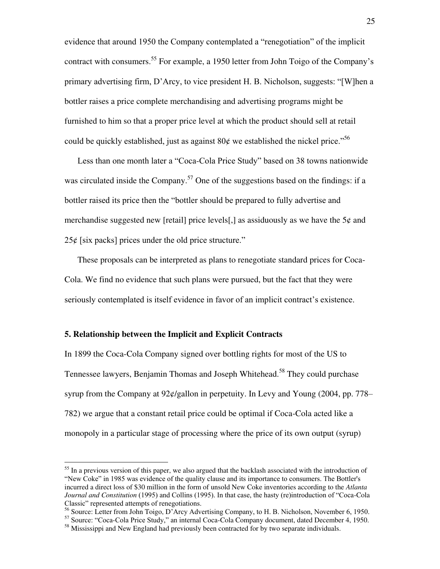evidence that around 1950 the Company contemplated a "renegotiation" of the implicit contract with consumers.<sup>55</sup> For example, a 1950 letter from John Toigo of the Company's primary advertising firm, D'Arcy, to vice president H. B. Nicholson, suggests: "[W]hen a bottler raises a price complete merchandising and advertising programs might be furnished to him so that a proper price level at which the product should sell at retail could be quickly established, just as against 80 $\epsilon$  we established the nickel price.<sup>556</sup>

Less than one month later a "Coca-Cola Price Study" based on 38 towns nationwide was circulated inside the Company.<sup>57</sup> One of the suggestions based on the findings: if a bottler raised its price then the "bottler should be prepared to fully advertise and merchandise suggested new [retail] price levels[,] as assiduously as we have the  $5¢$  and  $25¢$  [six packs] prices under the old price structure."

These proposals can be interpreted as plans to renegotiate standard prices for Coca-Cola. We find no evidence that such plans were pursued, but the fact that they were seriously contemplated is itself evidence in favor of an implicit contract's existence.

#### **5. Relationship between the Implicit and Explicit Contracts**

 $\overline{a}$ 

In 1899 the Coca-Cola Company signed over bottling rights for most of the US to Tennessee lawyers, Benjamin Thomas and Joseph Whitehead.<sup>58</sup> They could purchase syrup from the Company at 92¢/gallon in perpetuity. In Levy and Young (2004, pp. 778– 782) we argue that a constant retail price could be optimal if Coca-Cola acted like a monopoly in a particular stage of processing where the price of its own output (syrup)

<sup>&</sup>lt;sup>55</sup> In a previous version of this paper, we also argued that the backlash associated with the introduction of "New Coke" in 1985 was evidence of the quality clause and its importance to consumers. The Bottler's incurred a direct loss of \$30 million in the form of unsold New Coke inventories according to the *Atlanta Journal and Constitution* (1995) and Collins (1995). In that case, the hasty (re)introduction of "Coca-Cola Classic" represented attempts of renegotiations.

<sup>&</sup>lt;sup>56</sup> Source: Letter from John Toigo, D'Arcy Advertising Company, to H. B. Nicholson, November 6, 1950.

<sup>57</sup> Source: "Coca-Cola Price Study," an internal Coca-Cola Company document, dated December 4, 1950.

<sup>&</sup>lt;sup>58</sup> Mississippi and New England had previously been contracted for by two separate individuals.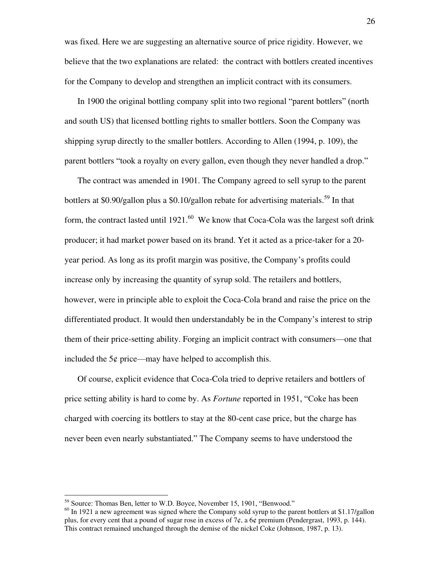was fixed. Here we are suggesting an alternative source of price rigidity. However, we believe that the two explanations are related: the contract with bottlers created incentives for the Company to develop and strengthen an implicit contract with its consumers.

In 1900 the original bottling company split into two regional "parent bottlers" (north and south US) that licensed bottling rights to smaller bottlers. Soon the Company was shipping syrup directly to the smaller bottlers. According to Allen (1994, p. 109), the parent bottlers "took a royalty on every gallon, even though they never handled a drop."

The contract was amended in 1901. The Company agreed to sell syrup to the parent bottlers at \$0.90/gallon plus a \$0.10/gallon rebate for advertising materials.<sup>59</sup> In that form, the contract lasted until  $1921$ .<sup>60</sup> We know that Coca-Cola was the largest soft drink producer; it had market power based on its brand. Yet it acted as a price-taker for a 20 year period. As long as its profit margin was positive, the Company's profits could increase only by increasing the quantity of syrup sold. The retailers and bottlers, however, were in principle able to exploit the Coca-Cola brand and raise the price on the differentiated product. It would then understandably be in the Company's interest to strip them of their price-setting ability. Forging an implicit contract with consumers—one that included the  $5¢$  price—may have helped to accomplish this.

Of course, explicit evidence that Coca-Cola tried to deprive retailers and bottlers of price setting ability is hard to come by. As *Fortune* reported in 1951, "Coke has been charged with coercing its bottlers to stay at the 80-cent case price, but the charge has never been even nearly substantiated." The Company seems to have understood the

<sup>&</sup>lt;sup>59</sup> Source: Thomas Ben, letter to W.D. Boyce, November 15, 1901, "Benwood."

 $60$  In 1921 a new agreement was signed where the Company sold syrup to the parent bottlers at \$1.17/gallon plus, for every cent that a pound of sugar rose in excess of  $7¢$ , a  $6¢$  premium (Pendergrast, 1993, p. 144). This contract remained unchanged through the demise of the nickel Coke (Johnson, 1987, p. 13).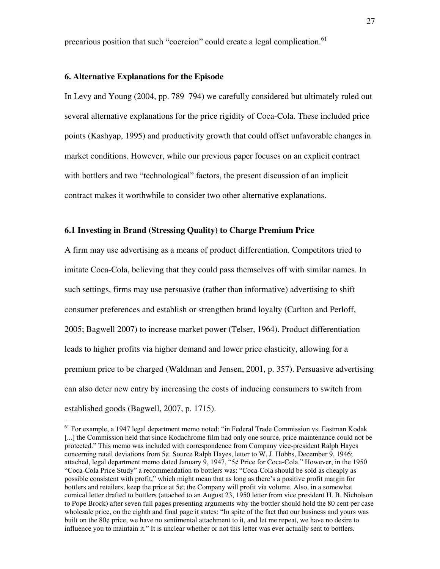precarious position that such "coercion" could create a legal complication.<sup>61</sup>

#### **6. Alternative Explanations for the Episode**

 $\overline{a}$ 

In Levy and Young (2004, pp. 789–794) we carefully considered but ultimately ruled out several alternative explanations for the price rigidity of Coca-Cola. These included price points (Kashyap, 1995) and productivity growth that could offset unfavorable changes in market conditions. However, while our previous paper focuses on an explicit contract with bottlers and two "technological" factors, the present discussion of an implicit contract makes it worthwhile to consider two other alternative explanations.

#### **6.1 Investing in Brand (Stressing Quality) to Charge Premium Price**

A firm may use advertising as a means of product differentiation. Competitors tried to imitate Coca-Cola, believing that they could pass themselves off with similar names. In such settings, firms may use persuasive (rather than informative) advertising to shift consumer preferences and establish or strengthen brand loyalty (Carlton and Perloff, 2005; Bagwell 2007) to increase market power (Telser, 1964). Product differentiation leads to higher profits via higher demand and lower price elasticity, allowing for a premium price to be charged (Waldman and Jensen, 2001, p. 357). Persuasive advertising can also deter new entry by increasing the costs of inducing consumers to switch from established goods (Bagwell, 2007, p. 1715).

<sup>&</sup>lt;sup>61</sup> For example, a 1947 legal department memo noted: "in Federal Trade Commission vs. Eastman Kodak [...] the Commission held that since Kodachrome film had only one source, price maintenance could not be protected." This memo was included with correspondence from Company vice-president Ralph Hayes concerning retail deviations from 5¢. Source Ralph Hayes, letter to W. J. Hobbs, December 9, 1946; attached, legal department memo dated January 9, 1947, "5¢ Price for Coca-Cola." However, in the 1950 "Coca-Cola Price Study" a recommendation to bottlers was: "Coca-Cola should be sold as cheaply as possible consistent with profit," which might mean that as long as there's a positive profit margin for bottlers and retailers, keep the price at  $5¢$ ; the Company will profit via volume. Also, in a somewhat comical letter drafted to bottlers (attached to an August 23, 1950 letter from vice president H. B. Nicholson to Pope Brock) after seven full pages presenting arguments why the bottler should hold the 80 cent per case wholesale price, on the eighth and final page it states: "In spite of the fact that our business and yours was built on the 80¢ price, we have no sentimental attachment to it, and let me repeat, we have no desire to influence you to maintain it." It is unclear whether or not this letter was ever actually sent to bottlers.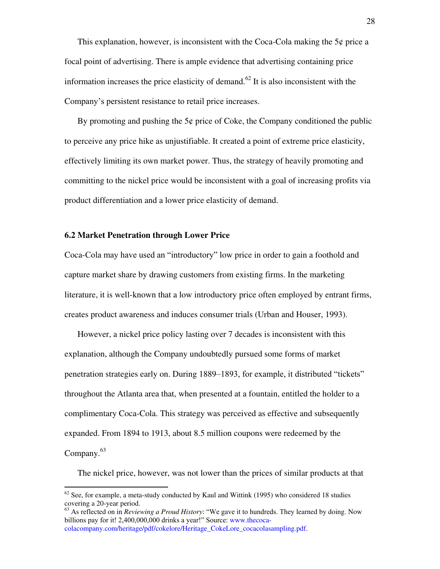This explanation, however, is inconsistent with the Coca-Cola making the  $5¢$  price a focal point of advertising. There is ample evidence that advertising containing price information increases the price elasticity of demand.<sup>62</sup> It is also inconsistent with the Company's persistent resistance to retail price increases.

By promoting and pushing the  $5¢$  price of Coke, the Company conditioned the public to perceive any price hike as unjustifiable. It created a point of extreme price elasticity, effectively limiting its own market power. Thus, the strategy of heavily promoting and committing to the nickel price would be inconsistent with a goal of increasing profits via product differentiation and a lower price elasticity of demand.

#### **6.2 Market Penetration through Lower Price**

 $\overline{a}$ 

Coca-Cola may have used an "introductory" low price in order to gain a foothold and capture market share by drawing customers from existing firms. In the marketing literature, it is well-known that a low introductory price often employed by entrant firms, creates product awareness and induces consumer trials (Urban and Houser, 1993).

However, a nickel price policy lasting over 7 decades is inconsistent with this explanation, although the Company undoubtedly pursued some forms of market penetration strategies early on. During 1889–1893, for example, it distributed "tickets" throughout the Atlanta area that, when presented at a fountain, entitled the holder to a complimentary Coca-Cola. This strategy was perceived as effective and subsequently expanded. From 1894 to 1913, about 8.5 million coupons were redeemed by the Company. $63$ 

The nickel price, however, was not lower than the prices of similar products at that

 $62$  See, for example, a meta-study conducted by Kaul and Wittink (1995) who considered 18 studies covering a 20-year period.

<sup>63</sup> As reflected on in *Reviewing a Proud History*: "We gave it to hundreds. They learned by doing. Now billions pay for it! 2,400,000,000 drinks a year!" Source: [www.thecoca](http://www.thecoca-colacompany.com/heritage/pdf/cokelore/Heritage_CokeLore_cocacolasampling.pdf)[colacompany.com/heritage/pdf/cokelore/Heritage\\_CokeLore\\_cocacolasampling.pdf.](http://www.thecoca-colacompany.com/heritage/pdf/cokelore/Heritage_CokeLore_cocacolasampling.pdf)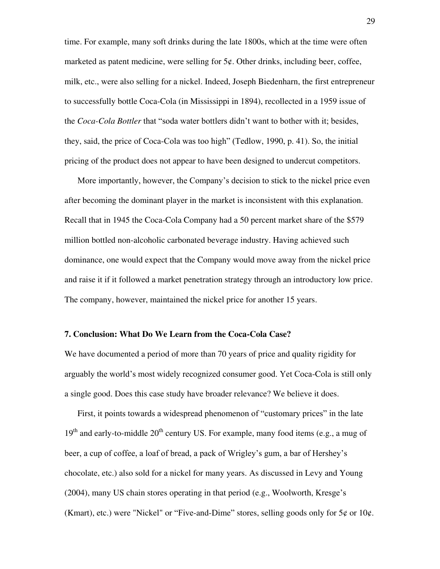time. For example, many soft drinks during the late 1800s, which at the time were often marketed as patent medicine, were selling for  $5¢$ . Other drinks, including beer, coffee, milk, etc., were also selling for a nickel. Indeed, Joseph Biedenharn, the first entrepreneur to successfully bottle Coca-Cola (in Mississippi in 1894), recollected in a 1959 issue of the *Coca-Cola Bottler* that "soda water bottlers didn't want to bother with it; besides, they, said, the price of Coca-Cola was too high" (Tedlow, 1990, p. 41). So, the initial pricing of the product does not appear to have been designed to undercut competitors.

More importantly, however, the Company's decision to stick to the nickel price even after becoming the dominant player in the market is inconsistent with this explanation. Recall that in 1945 the Coca-Cola Company had a 50 percent market share of the \$579 million bottled non-alcoholic carbonated beverage industry. Having achieved such dominance, one would expect that the Company would move away from the nickel price and raise it if it followed a market penetration strategy through an introductory low price. The company, however, maintained the nickel price for another 15 years.

#### **7. Conclusion: What Do We Learn from the Coca-Cola Case?**

We have documented a period of more than 70 years of price and quality rigidity for arguably the world's most widely recognized consumer good. Yet Coca-Cola is still only a single good. Does this case study have broader relevance? We believe it does.

First, it points towards a widespread phenomenon of "customary prices" in the late  $19<sup>th</sup>$  and early-to-middle  $20<sup>th</sup>$  century US. For example, many food items (e.g., a mug of beer, a cup of coffee, a loaf of bread, a pack of Wrigley's gum, a bar of Hershey's chocolate, etc.) also sold for a nickel for many years. As discussed in Levy and Young (2004), many US chain stores operating in that period (e.g., Woolworth, Kresge's (Kmart), etc.) were "Nickel" or "Five-and-Dime" stores, selling goods only for  $5¢$  or  $10¢$ .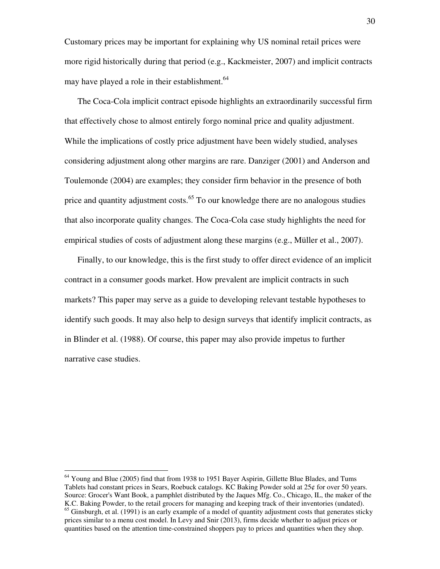Customary prices may be important for explaining why US nominal retail prices were more rigid historically during that period (e.g., Kackmeister, 2007) and implicit contracts may have played a role in their establishment.<sup>64</sup>

The Coca-Cola implicit contract episode highlights an extraordinarily successful firm that effectively chose to almost entirely forgo nominal price and quality adjustment. While the implications of costly price adjustment have been widely studied, analyses considering adjustment along other margins are rare. Danziger (2001) and Anderson and Toulemonde (2004) are examples; they consider firm behavior in the presence of both price and quantity adjustment costs.<sup>65</sup> To our knowledge there are no analogous studies that also incorporate quality changes. The Coca-Cola case study highlights the need for empirical studies of costs of adjustment along these margins (e.g., Müller et al., 2007).

Finally, to our knowledge, this is the first study to offer direct evidence of an implicit contract in a consumer goods market. How prevalent are implicit contracts in such markets? This paper may serve as a guide to developing relevant testable hypotheses to identify such goods. It may also help to design surveys that identify implicit contracts, as in Blinder et al. (1988). Of course, this paper may also provide impetus to further narrative case studies.

<sup>&</sup>lt;sup>64</sup> Young and Blue (2005) find that from 1938 to 1951 Bayer Aspirin, Gillette Blue Blades, and Tums Tablets had constant prices in Sears, Roebuck catalogs. KC Baking Powder sold at 25¢ for over 50 years. Source: Grocer's Want Book, a pamphlet distributed by the Jaques Mfg. Co., Chicago, IL, the maker of the K.C. Baking Powder, to the retail grocers for managing and keeping track of their inventories (undated). <sup>65</sup> Ginsburgh, et al. (1991) is an early example of a model of quantity adjustment costs that generates sticky

prices similar to a menu cost model. In Levy and Snir (2013), firms decide whether to adjust prices or quantities based on the attention time-constrained shoppers pay to prices and quantities when they shop.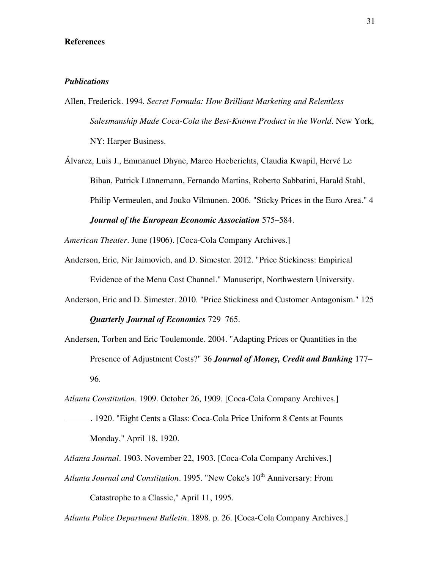#### **References**

#### *Publications*

Allen, Frederick. 1994. *Secret Formula: How Brilliant Marketing and Relentless Salesmanship Made Coca-Cola the Best-Known Product in the World*. New York, NY: Harper Business.

Álvarez, Luis J., Emmanuel Dhyne, Marco Hoeberichts, Claudia Kwapil, Hervé Le Bihan, Patrick Lünnemann, Fernando Martins, Roberto Sabbatini, Harald Stahl, Philip Vermeulen, and Jouko Vilmunen. 2006. "Sticky Prices in the Euro Area." 4 *Journal of the European Economic Association* 575–584.

*American Theater*. June (1906). [Coca-Cola Company Archives.]

- Anderson, Eric, Nir Jaimovich, and D. Simester. 2012. "Price Stickiness: Empirical Evidence of the Menu Cost Channel." Manuscript, Northwestern University.
- Anderson, Eric and D. Simester. 2010. "Price Stickiness and Customer Antagonism." 125 *Quarterly Journal of Economics* 729–765.
- Andersen, Torben and Eric Toulemonde. 2004. ["Adapting Prices or Quantities in the](http://ideas.repec.org/a/mcb/jmoncb/v36y2004i2p177-96.html)  [Presence of Adjustment Costs?"](http://ideas.repec.org/a/mcb/jmoncb/v36y2004i2p177-96.html) 36 *[Journal of Money, Credit and Banking](http://ideas.repec.org/s/mcb/jmoncb.html)* 177– 96.

*Atlanta Constitution*. 1909. October 26, 1909. [Coca-Cola Company Archives.]

———. 1920. "Eight Cents a Glass: Coca-Cola Price Uniform 8 Cents at Founts Monday," April 18, 1920.

*Atlanta Journal*. 1903. November 22, 1903. [Coca-Cola Company Archives.]

*Atlanta Journal and Constitution.* 1995. "New Coke's 10<sup>th</sup> Anniversary: From Catastrophe to a Classic," April 11, 1995.

*Atlanta Police Department Bulletin*. 1898. p. 26. [Coca-Cola Company Archives.]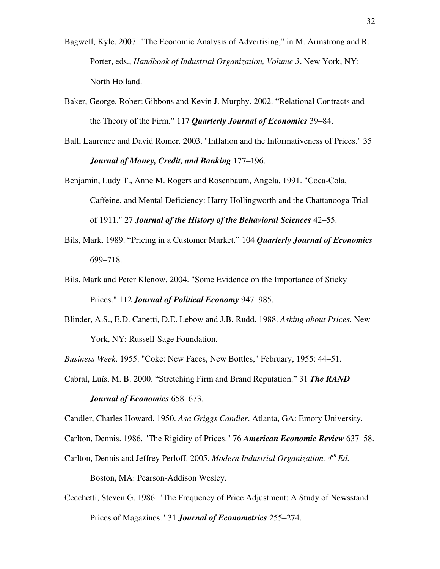- Bagwell, Kyle. 2007. "The Economic Analysis of Advertising," in M. Armstrong and R. Porter, eds., *Handbook of Industrial Organization, Volume 3***.** New York, NY: North Holland.
- Baker, George, Robert Gibbons and Kevin J. Murphy. 2002. "Relational Contracts and the Theory of the Firm." 117 *Quarterly Journal of Economics* 39–84.
- Ball, Laurence and David Romer. 2003. "Inflation and the Informativeness of Prices." 35 *Journal of Money, Credit, and Banking* 177–196.
- Benjamin, Ludy T., Anne M. Rogers and Rosenbaum, Angela. 1991. "Coca-Cola, Caffeine, and Mental Deficiency: Harry Hollingworth and the Chattanooga Trial of 1911." 27 *Journal of the History of the Behavioral Sciences* 42–55.
- Bils, Mark. 1989. "Pricing in a Customer Market." 104 *Quarterly Journal of Economics* 699–718.
- Bils, Mark and Peter Klenow. 2004. "Some Evidence on the Importance of Sticky Prices." 112 *Journal of Political Economy* 947–985.
- Blinder, A.S., E.D. Canetti, D.E. Lebow and J.B. Rudd. 1988. *Asking about Prices*. New York, NY: Russell-Sage Foundation.
- *Business Week*. 1955. "Coke: New Faces, New Bottles," February, 1955: 44–51.
- Cabral, Luís, M. B. 2000. "Stretching Firm and Brand Reputation." 31 *The RAND*

#### *Journal of Economics* 658–673.

Candler, Charles Howard. 1950. *Asa Griggs Candler*. Atlanta, GA: Emory University.

- Carlton, Dennis. 1986. "The Rigidity of Prices." 76 *American Economic Review* 637–58.
- Carlton, Dennis and Jeffrey Perloff. 2005. *Modern Industrial Organization, 4th Ed.*

Boston, MA: Pearson-Addison Wesley.

Cecchetti, Steven G. 1986. "The Frequency of Price Adjustment: A Study of Newsstand Prices of Magazines." 31 *Journal of Econometrics* 255–274.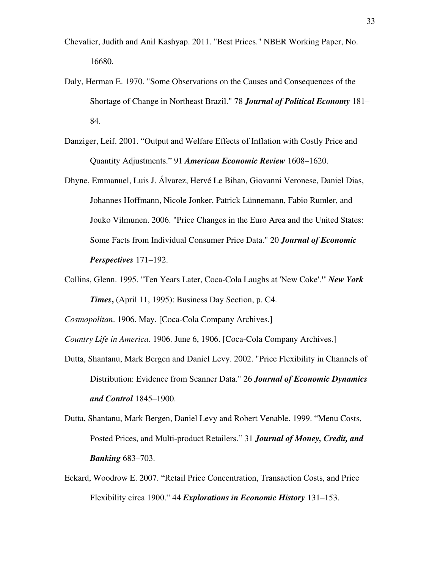- Chevalier, Judith and Anil Kashyap. 2011. "Best Prices." NBER Working Paper, No. 16680.
- Daly, Herman E. 1970. "Some Observations on the Causes and Consequences of the Shortage of Change in Northeast Brazil." 78 *Journal of Political Economy* 181– 84.
- Danziger, Leif. 2001. "Output and Welfare Effects of Inflation with Costly Price and Quantity Adjustments." 91 *American Economic Review* 1608–1620.
- Dhyne, Emmanuel, Luis J. Álvarez, Hervé Le Bihan, Giovanni Veronese, Daniel Dias, Johannes Hoffmann, Nicole Jonker, Patrick Lünnemann, Fabio Rumler, and Jouko Vilmunen. 2006. "Price Changes in the Euro Area and the United States: Some Facts from Individual Consumer Price Data." 20 *Journal of Economic Perspectives* 171–192.
- Collins, Glenn. 1995. "Ten Years Later, Coca-Cola Laughs at 'New Coke'.**"** *New York Times***,** (April 11, 1995): Business Day Section, p. C4.

*Cosmopolitan*. 1906. May. [Coca-Cola Company Archives.]

*Country Life in America*. 1906. June 6, 1906. [Coca-Cola Company Archives.]

- Dutta, Shantanu, Mark Bergen and Daniel Levy. 2002. "Price Flexibility in Channels of Distribution: Evidence from Scanner Data." 26 *Journal of Economic Dynamics and Control* 1845–1900.
- Dutta, Shantanu, Mark Bergen, Daniel Levy and Robert Venable. 1999. "Menu Costs, Posted Prices, and Multi-product Retailers." 31 *Journal of Money, Credit, and Banking* 683–703.
- Eckard, Woodrow E. 2007. "Retail Price Concentration, Transaction Costs, and Price Flexibility circa 1900." 44 *Explorations in Economic History* 131–153.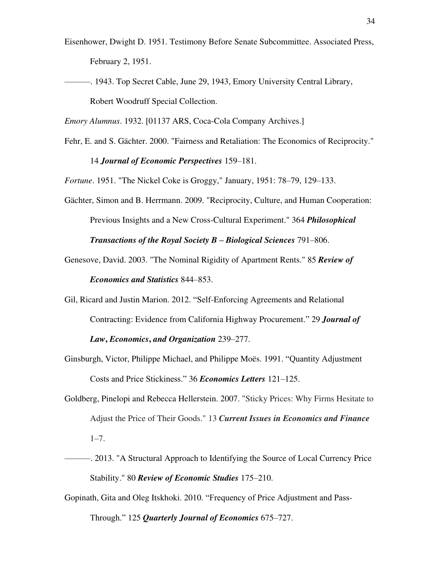- Eisenhower, Dwight D. 1951. Testimony Before Senate Subcommittee. Associated Press, February 2, 1951.
- ———. 1943. Top Secret Cable, June 29, 1943, Emory University Central Library, Robert Woodruff Special Collection.

*Emory Alumnus*. 1932. [01137 ARS, Coca-Cola Company Archives.]

Fehr, E. and S. Gächter. 2000. "Fairness and Retaliation: The Economics of Reciprocity." 14 *Journal of Economic Perspectives* 159–181.

*Fortune*. 1951. "The Nickel Coke is Groggy," January, 1951: 78–79, 129–133.

- Gächter, Simon and B. Herrmann. 2009. "Reciprocity, Culture, and Human Cooperation: Previous Insights and a New Cross-Cultural Experiment." 364 *Philosophical Transactions of the Royal Society B – Biological Sciences* 791–806.
- Genesove, David. 2003. "The Nominal Rigidity of Apartment Rents." 85 *Review of Economics and Statistics* 844–853.

Gil, Ricard and Justin Marion. 2012. "Self-Enforcing Agreements and Relational Contracting: Evidence from California Highway Procurement." 29 *Journal of Law***,** *Economics***,** *and Organization* 239–277.

- Ginsburgh, Victor, Philippe Michael, and Philippe Moës. 1991. "Quantity Adjustment Costs and Price Stickiness." 36 *Economics Letters* 121–125.
- Goldberg, Pinelopi and Rebecca Hellerstein. 2007. "Sticky Prices: Why Firms Hesitate to Adjust the Price of Their Goods." 13 *Current Issues in Economics and Finance* 1–7.
- ———. 2013. "A Structural Approach to Identifying the Source of Local Currency Price Stability." 80 *Review of Economic Studies* 175–210.
- Gopinath, Gita and Oleg Itskhoki. 2010. "Frequency of Price Adjustment and Pass-Through." 125 *Quarterly Journal of Economics* 675–727.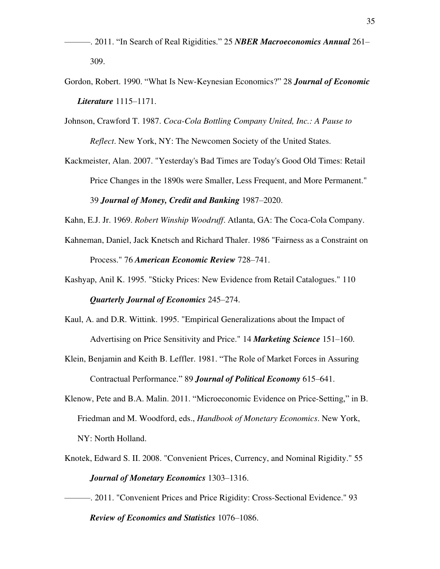- ———. 2011. "In Search of Real Rigidities." 25 *NBER Macroeconomics Annual* 261– 309.
- Gordon, Robert. 1990. "What Is New-Keynesian Economics?" 28 *Journal of Economic Literature* 1115–1171.
- Johnson, Crawford T. 1987. *Coca-Cola Bottling Company United, Inc.: A Pause to Reflect*. New York, NY: The Newcomen Society of the United States.
- Kackmeister, Alan. 2007. "Yesterday's Bad Times are Today's Good Old Times: Retail Price Changes in the 1890s were Smaller, Less Frequent, and More Permanent." 39 *Journal of Money, Credit and Banking* 1987–2020.
- Kahn, E.J. Jr. 1969. *Robert Winship Woodruff*. Atlanta, GA: The Coca-Cola Company.
- Kahneman, Daniel, Jack Knetsch and Richard Thaler. 1986 "Fairness as a Constraint on Process." 76 *American Economic Review* 728–741.
- Kashyap, Anil K. 1995. "Sticky Prices: New Evidence from Retail Catalogues." 110

*Quarterly Journal of Economics* 245–274.

- Kaul, A. and D.R. Wittink. 1995. "Empirical Generalizations about the Impact of Advertising on Price Sensitivity and Price." 14 *Marketing Science* 151–160.
- Klein, Benjamin and Keith B. Leffler. 1981. "The Role of Market Forces in Assuring Contractual Performance." 89 *Journal of Political Economy* 615–641.
- Klenow, Pete and B.A. Malin. 2011. "Microeconomic Evidence on Price-Setting," in B. Friedman and M. Woodford, eds., *Handbook of Monetary Economics*. New York, NY: North Holland.
- Knotek, Edward S. II. 2008. "Convenient Prices, Currency, and Nominal Rigidity." 55 *Journal of Monetary Economics* 1303–1316.
- ———. 2011. "Convenient Prices and Price Rigidity: Cross-Sectional Evidence." 93 *Review of Economics and Statistics* 1076–1086.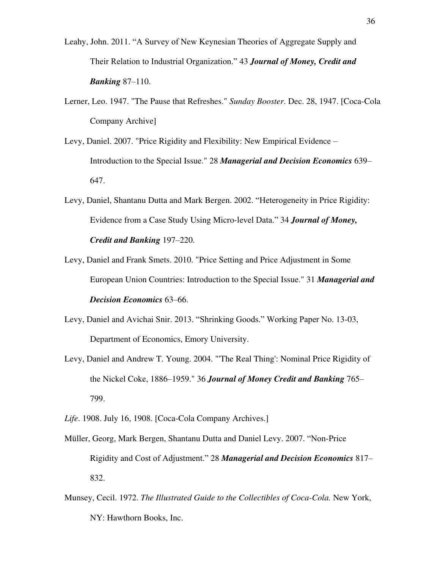- Leahy, John. 2011. "A Survey of New Keynesian Theories of Aggregate Supply and Their Relation to Industrial Organization." 43 *Journal of Money, Credit and Banking* 87–110.
- Lerner, Leo. 1947. "The Pause that Refreshes." *Sunday Booster*. Dec. 28, 1947. [Coca-Cola Company Archive]
- Levy, Daniel. 2007. "Price Rigidity and Flexibility: New Empirical Evidence Introduction to the Special Issue." 28 *Managerial and Decision Economics* 639– 647.
- Levy, Daniel, Shantanu Dutta and Mark Bergen. 2002. "Heterogeneity in Price Rigidity: Evidence from a Case Study Using Micro-level Data." 34 *Journal of Money, Credit and Banking* 197–220.
- Levy, Daniel and Frank Smets. 2010. "Price Setting and Price Adjustment in Some European Union Countries: Introduction to the Special Issue." 31 *Managerial and Decision Economics* 63–66.
- Levy, Daniel and Avichai Snir. 2013. "Shrinking Goods." Working Paper No. 13-03, Department of Economics, Emory University.
- Levy, Daniel and Andrew T. Young. 2004. "'The Real Thing': Nominal Price Rigidity of the Nickel Coke, 1886–1959." 36 *Journal of Money Credit and Banking* 765– 799.
- *Life*. 1908. July 16, 1908. [Coca-Cola Company Archives.]
- Müller, Georg, Mark Bergen, Shantanu Dutta and Daniel Levy. 2007. "Non-Price Rigidity and Cost of Adjustment." 28 *Managerial and Decision Economics* 817– 832.
- Munsey, Cecil. 1972. *The Illustrated Guide to the Collectibles of Coca-Cola.* New York, NY: Hawthorn Books, Inc.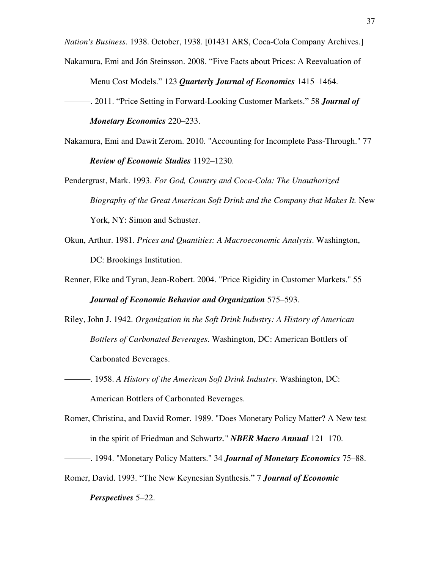*Nation's Business*. 1938. October, 1938. [01431 ARS, Coca-Cola Company Archives.]

- Nakamura, Emi and Jón Steinsson. 2008. "Five Facts about Prices: A Reevaluation of Menu Cost Models." 123 *Quarterly Journal of Economics* 1415–1464.
- ———. 2011. "Price Setting in Forward-Looking Customer Markets." 58 *Journal of Monetary Economics* 220–233.
- Nakamura, Emi and Dawit Zerom. 2010. "Accounting for Incomplete Pass-Through." 77 *Review of Economic Studies* 1192–1230.
- Pendergrast, Mark. 1993. *For God, Country and Coca-Cola: The Unauthorized Biography of the Great American Soft Drink and the Company that Makes It. New* York, NY: Simon and Schuster.
- Okun, Arthur. 1981. *Prices and Quantities: A Macroeconomic Analysis*. Washington, DC: Brookings Institution.
- Renner, Elke and Tyran, Jean-Robert. 2004. "Price Rigidity in Customer Markets." 55 *Journal of Economic Behavior and Organization* 575–593.
- Riley, John J. 1942. *Organization in the Soft Drink Industry: A History of American Bottlers of Carbonated Beverages*. Washington, DC: American Bottlers of Carbonated Beverages.
- ———. 1958. *A History of the American Soft Drink Industry*. Washington, DC: American Bottlers of Carbonated Beverages.
- Romer, Christina, and David Romer. 1989. "Does Monetary Policy Matter? A New test in the spirit of Friedman and Schwartz." *NBER Macro Annual* 121–170.
- ———. 1994. "Monetary Policy Matters." 34 *Journal of Monetary Economics* 75–88.
- Romer, David. 1993. "The New Keynesian Synthesis." 7 *Journal of Economic*

#### *Perspectives* 5–22.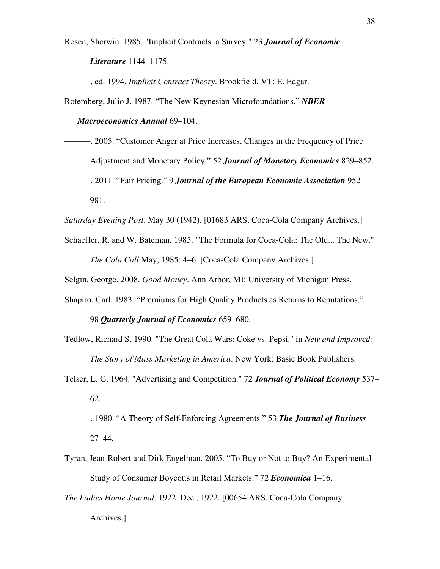Rosen, Sherwin. 1985. "Implicit Contracts: a Survey." 23 *Journal of Economic Literature* 1144–1175.

———, ed. 1994. *Implicit Contract Theory*. Brookfield, VT: E. Edgar.

Rotemberg, Julio J. 1987. "The New Keynesian Microfoundations." *NBER* 

*Macroeconomics Annual* 69–104.

———. 2005. "Customer Anger at Price Increases, Changes in the Frequency of Price Adjustment and Monetary Policy." 52 *Journal of Monetary Economics* 829–852. ———. 2011. "Fair Pricing." 9 *Journal of the European Economic Association* 952– 981.

*Saturday Evening Post*. May 30 (1942). [01683 ARS, Coca-Cola Company Archives.]

Schaeffer, R. and W. Bateman. 1985. "The Formula for Coca-Cola: The Old... The New." *The Cola Call* May, 1985: 4–6. [Coca-Cola Company Archives.]

Selgin, George. 2008. *Good Money*. Ann Arbor, MI: University of Michigan Press.

Shapiro, Carl. 1983. "Premiums for High Quality Products as Returns to Reputations."

98 *Quarterly Journal of Economics* 659–680.

Tedlow, Richard S. 1990. "The Great Cola Wars: Coke vs. Pepsi." in *New and Improved: The Story of Mass Marketing in America*. New York: Basic Book Publishers.

- Telser, L. G. 1964. "Advertising and Competition." 72 *Journal of Political Economy* 537– 62.
- ———. 1980. "A Theory of Self-Enforcing Agreements." 53 *The Journal of Business* 27–44.
- Tyran, Jean-Robert and Dirk Engelman. 2005. "To Buy or Not to Buy? An Experimental Study of Consumer Boycotts in Retail Markets." 72 *Economica* 1–16.
- *The Ladies Home Journal*. 1922. Dec., 1922. [00654 ARS, Coca-Cola Company Archives.]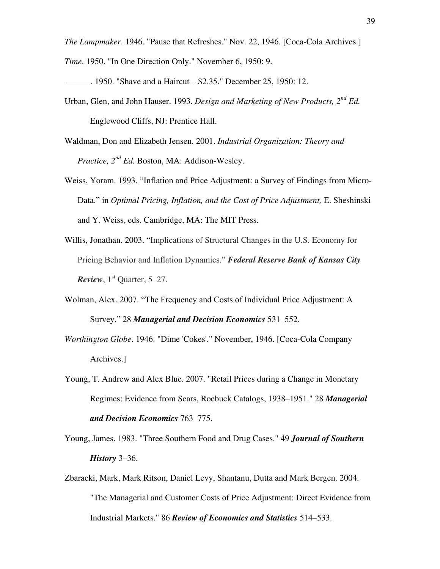*The Lampmaker*. 1946. "Pause that Refreshes." Nov. 22, 1946. [Coca-Cola Archives.]

*Time*. 1950. "In One Direction Only." November 6, 1950: 9.

———. 1950. "Shave and a Haircut – \$2.35." December 25, 1950: 12.

- Urban, Glen, and John Hauser. 1993. *Design and Marketing of New Products, 2nd Ed.* Englewood Cliffs, NJ: Prentice Hall.
- Waldman, Don and Elizabeth Jensen. 2001. *Industrial Organization: Theory and Practice, 2nd Ed.* Boston, MA: Addison-Wesley.
- Weiss, Yoram. 1993. "Inflation and Price Adjustment: a Survey of Findings from Micro-Data." in *Optimal Pricing, Inflation, and the Cost of Price Adjustment, E. Sheshinski* and Y. Weiss, eds. Cambridge, MA: The MIT Press.
- Willis, Jonathan. 2003. "Implications of Structural Changes in the U.S. Economy for Pricing Behavior and Inflation Dynamics." *Federal Reserve Bank of Kansas City Review*,  $1<sup>st</sup>$  Quarter, 5–27.
- Wolman, Alex. 2007. "The Frequency and Costs of Individual Price Adjustment: A Survey." 28 *Managerial and Decision Economics* 531–552.
- *Worthington Globe*. 1946. "Dime 'Cokes'." November, 1946. [Coca-Cola Company Archives.]
- Young, T. Andrew and Alex Blue. 2007. "Retail Prices during a Change in Monetary Regimes: Evidence from Sears, Roebuck Catalogs, 1938–1951." 28 *Managerial and Decision Economics* 763–775.
- Young, James. 1983. "Three Southern Food and Drug Cases." 49 *Journal of Southern History* 3–36.
- Zbaracki, Mark, Mark Ritson, Daniel Levy, Shantanu, Dutta and Mark Bergen. 2004. "The Managerial and Customer Costs of Price Adjustment: Direct Evidence from Industrial Markets." 86 *Review of Economics and Statistics* 514–533.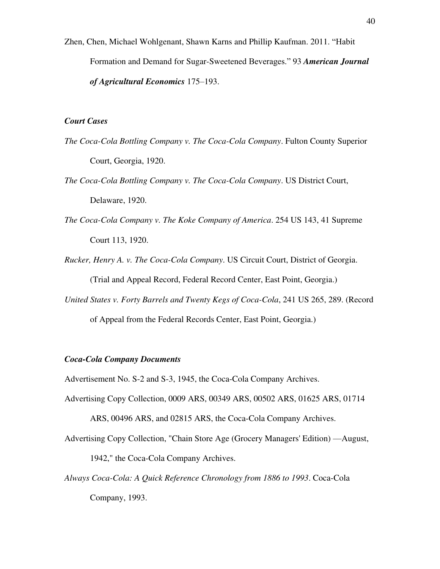Zhen, Chen, [Michael Wohlgenant,](http://ajae.oxfordjournals.org/search?author1=Michael+K.+Wohlgenant&sortspec=date&submit=Submit) [Shawn Karns](http://ajae.oxfordjournals.org/search?author1=Shawn+Karns&sortspec=date&submit=Submit) and [Phillip Kaufman.](http://ajae.oxfordjournals.org/search?author1=Phillip+Kaufman&sortspec=date&submit=Submit) 2011. "Habit Formation and Demand for Sugar-Sweetened Beverages." 93 *American Journal of Agricultural Economics* 175–193.

#### *Court Cases*

- *The Coca-Cola Bottling Company v. The Coca-Cola Company*. Fulton County Superior Court, Georgia, 1920.
- *The Coca-Cola Bottling Company v. The Coca-Cola Company*. US District Court, Delaware, 1920.
- *The Coca-Cola Company v. The Koke Company of America*. 254 US 143, 41 Supreme Court 113, 1920.
- *Rucker, Henry A. v. The Coca-Cola Company*. US Circuit Court, District of Georgia. (Trial and Appeal Record, Federal Record Center, East Point, Georgia.)
- *United States v. Forty Barrels and Twenty Kegs of Coca-Cola*, 241 US 265, 289. (Record of Appeal from the Federal Records Center, East Point, Georgia.)

#### *Coca-Cola Company Documents*

Advertisement No. S-2 and S-3, 1945, the Coca-Cola Company Archives.

Advertising Copy Collection, 0009 ARS, 00349 ARS, 00502 ARS, 01625 ARS, 01714

ARS, 00496 ARS, and 02815 ARS, the Coca-Cola Company Archives.

Advertising Copy Collection, "Chain Store Age (Grocery Managers' Edition) —August,

1942," the Coca-Cola Company Archives.

*Always Coca-Cola: A Quick Reference Chronology from 1886 to 1993*. Coca-Cola Company, 1993.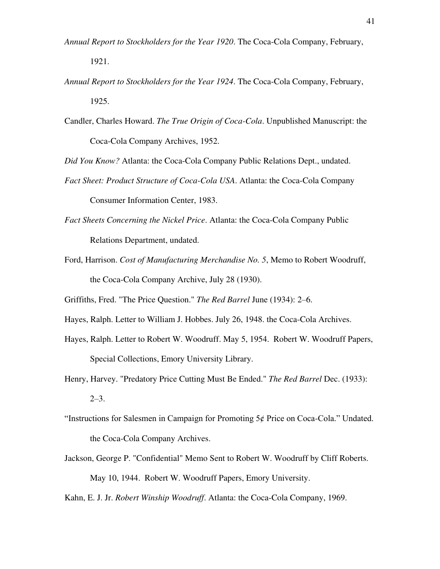- *Annual Report to Stockholders for the Year 1920*. The Coca-Cola Company, February, 1921.
- *Annual Report to Stockholders for the Year 1924*. The Coca-Cola Company, February, 1925.
- Candler, Charles Howard. *The True Origin of Coca-Cola*. Unpublished Manuscript: the Coca-Cola Company Archives, 1952.

*Did You Know?* Atlanta: the Coca-Cola Company Public Relations Dept., undated.

- *Fact Sheet: Product Structure of Coca-Cola USA*. Atlanta: the Coca-Cola Company Consumer Information Center, 1983.
- *Fact Sheets Concerning the Nickel Price*. Atlanta: the Coca-Cola Company Public Relations Department, undated.
- Ford, Harrison. *Cost of Manufacturing Merchandise No. 5*, Memo to Robert Woodruff, the Coca-Cola Company Archive, July 28 (1930).

Griffiths, Fred. "The Price Question." *The Red Barrel* June (1934): 2–6.

- Hayes, Ralph. Letter to William J. Hobbes. July 26, 1948. the Coca-Cola Archives.
- Hayes, Ralph. Letter to Robert W. Woodruff. May 5, 1954. Robert W. Woodruff Papers, Special Collections, Emory University Library.
- Henry, Harvey. "Predatory Price Cutting Must Be Ended." *The Red Barrel* Dec. (1933): 2–3.
- "Instructions for Salesmen in Campaign for Promoting 5¢ Price on Coca-Cola." Undated. the Coca-Cola Company Archives.
- Jackson, George P. "Confidential" Memo Sent to Robert W. Woodruff by Cliff Roberts. May 10, 1944. Robert W. Woodruff Papers, Emory University.

Kahn, E. J. Jr. *Robert Winship Woodruff*. Atlanta: the Coca-Cola Company, 1969.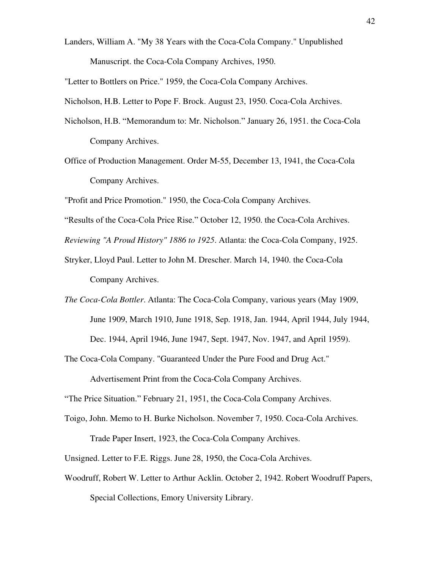Landers, William A. "My 38 Years with the Coca-Cola Company." Unpublished Manuscript. the Coca-Cola Company Archives, 1950.

"Letter to Bottlers on Price." 1959, the Coca-Cola Company Archives.

Nicholson, H.B. Letter to Pope F. Brock. August 23, 1950. Coca-Cola Archives.

- Nicholson, H.B. "Memorandum to: Mr. Nicholson." January 26, 1951. the Coca-Cola Company Archives.
- Office of Production Management. Order M-55, December 13, 1941, the Coca-Cola Company Archives.

"Profit and Price Promotion." 1950, the Coca-Cola Company Archives.

"Results of the Coca-Cola Price Rise." October 12, 1950. the Coca-Cola Archives.

*Reviewing "A Proud History" 1886 to 1925*. Atlanta: the Coca-Cola Company, 1925.

- Stryker, Lloyd Paul. Letter to John M. Drescher. March 14, 1940. the Coca-Cola Company Archives.
- *The Coca-Cola Bottler*. Atlanta: The Coca-Cola Company, various years (May 1909, June 1909, March 1910, June 1918, Sep. 1918, Jan. 1944, April 1944, July 1944, Dec. 1944, April 1946, June 1947, Sept. 1947, Nov. 1947, and April 1959).

The Coca-Cola Company. "Guaranteed Under the Pure Food and Drug Act."

Advertisement Print from the Coca-Cola Company Archives.

"The Price Situation." February 21, 1951, the Coca-Cola Company Archives.

Toigo, John. Memo to H. Burke Nicholson. November 7, 1950. Coca-Cola Archives. Trade Paper Insert, 1923, the Coca-Cola Company Archives.

Unsigned. Letter to F.E. Riggs. June 28, 1950, the Coca-Cola Archives.

Woodruff, Robert W. Letter to Arthur Acklin. October 2, 1942. Robert Woodruff Papers, Special Collections, Emory University Library.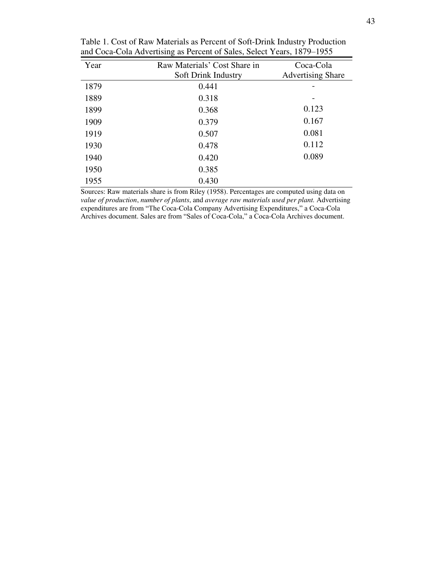| Year | Raw Materials' Cost Share in<br>Soft Drink Industry | Coca-Cola<br><b>Advertising Share</b> |
|------|-----------------------------------------------------|---------------------------------------|
| 1879 | 0.441                                               |                                       |
| 1889 | 0.318                                               |                                       |
| 1899 | 0.368                                               | 0.123                                 |
| 1909 | 0.379                                               | 0.167                                 |
| 1919 | 0.507                                               | 0.081                                 |
| 1930 | 0.478                                               | 0.112                                 |
| 1940 | 0.420                                               | 0.089                                 |
| 1950 | 0.385                                               |                                       |
| 1955 | 0.430                                               |                                       |

Table 1. Cost of Raw Materials as Percent of Soft-Drink Industry Production and Coca-Cola Advertising as Percent of Sales, Select Years, 1879–1955

Sources: Raw materials share is from Riley (1958). Percentages are computed using data on *value of production*, *number of plants*, and *average raw materials used per plant.* Advertising expenditures are from "The Coca-Cola Company Advertising Expenditures," a Coca-Cola Archives document. Sales are from "Sales of Coca-Cola," a Coca-Cola Archives document.